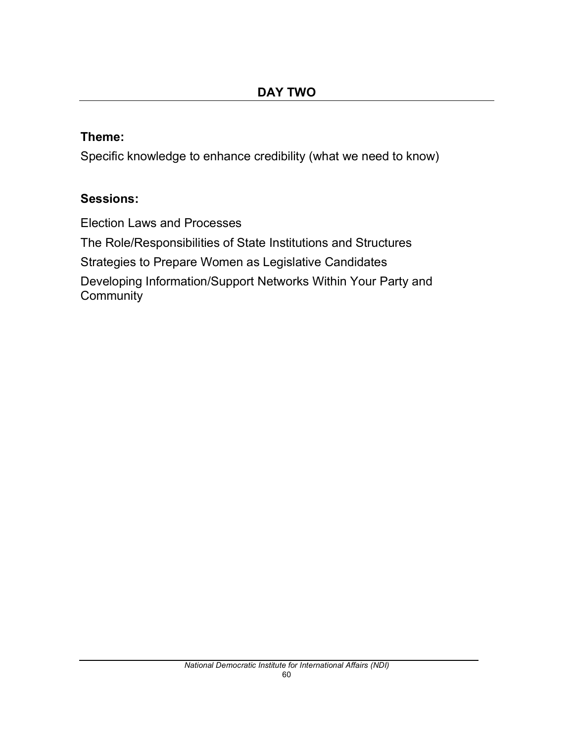# Theme:

Specific knowledge to enhance credibility (what we need to know)

# Sessions:

Election Laws and Processes The Role/Responsibilities of State Institutions and Structures Strategies to Prepare Women as Legislative Candidates Developing Information/Support Networks Within Your Party and **Community**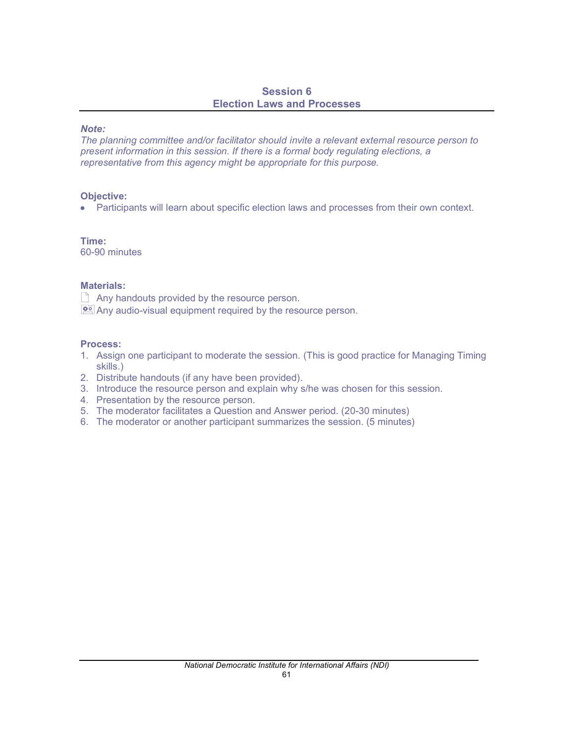## Session 6 Election Laws and Processes

#### *Note:*

*The planning committee and/or facilitator should invite a relevant external resource person to present information in this session. If there is a formal body regulating elections, a representative from this agency might be appropriate for this purpose.*

#### Objective:

Participants will learn about specific election laws and processes from their own context.

#### Time:

60-90 minutes

## Materials:

 $\Box$  Any handouts provided by the resource person.

**O**<sup>o'</sup> Any audio-visual equipment required by the resource person.

- 1. Assign one participant to moderate the session. (This is good practice for Managing Timing skills.)
- 2. Distribute handouts (if any have been provided).
- 3. Introduce the resource person and explain why s/he was chosen for this session.
- 4. Presentation by the resource person.
- 5. The moderator facilitates a Question and Answer period. (20-30 minutes)
- 6. The moderator or another participant summarizes the session. (5 minutes)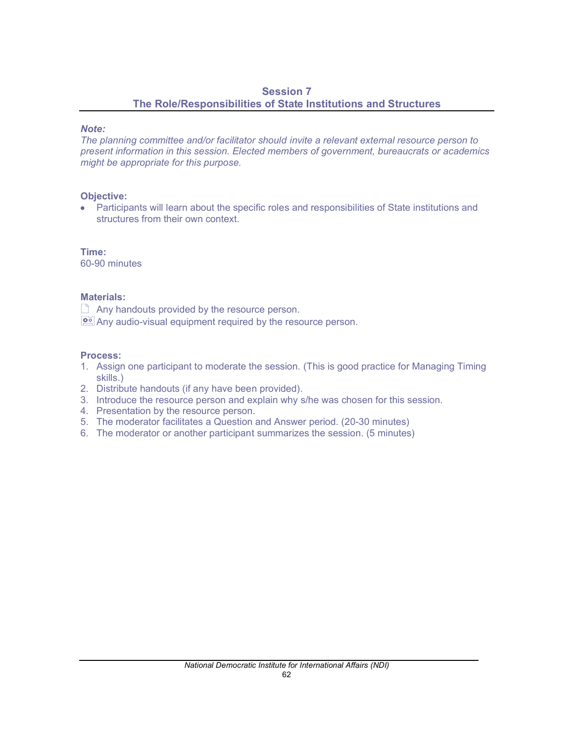## Session 7 The Role/Responsibilities of State Institutions and Structures

#### *Note:*

*The planning committee and/or facilitator should invite a relevant external resource person to present information in this session. Elected members of government, bureaucrats or academics might be appropriate for this purpose.*

#### Objective:

• Participants will learn about the specific roles and responsibilities of State institutions and structures from their own context.

#### Time:

60-90 minutes

#### Materials:

- $\Box$  Any handouts provided by the resource person.
- **pod** Any audio-visual equipment required by the resource person.

- 1. Assign one participant to moderate the session. (This is good practice for Managing Timing skills.)
- 2. Distribute handouts (if any have been provided).
- 3. Introduce the resource person and explain why s/he was chosen for this session.
- 4. Presentation by the resource person.
- 5. The moderator facilitates a Question and Answer period. (20-30 minutes)
- 6. The moderator or another participant summarizes the session. (5 minutes)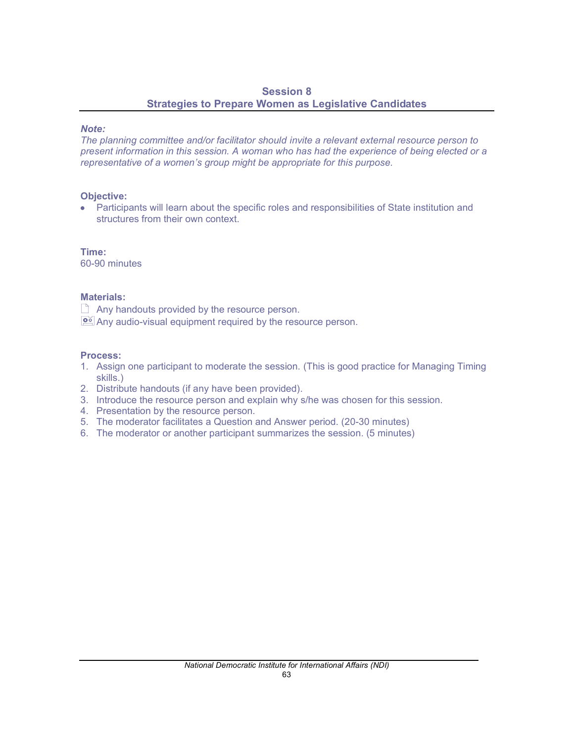## Session 8 Strategies to Prepare Women as Legislative Candidates

#### *Note:*

*The planning committee and/or facilitator should invite a relevant external resource person to present information in this session. A woman who has had the experience of being elected or a representative of a womens group might be appropriate for this purpose.*

#### Objective:

Participants will learn about the specific roles and responsibilities of State institution and  $\bullet$ structures from their own context.

#### Time:

60-90 minutes

#### Materials:

- $\Box$  Any handouts provided by the resource person.
- **pod** Any audio-visual equipment required by the resource person.

- 1. Assign one participant to moderate the session. (This is good practice for Managing Timing skills.)
- 2. Distribute handouts (if any have been provided).
- 3. Introduce the resource person and explain why s/he was chosen for this session.
- 4. Presentation by the resource person.
- 5. The moderator facilitates a Question and Answer period. (20-30 minutes)
- 6. The moderator or another participant summarizes the session. (5 minutes)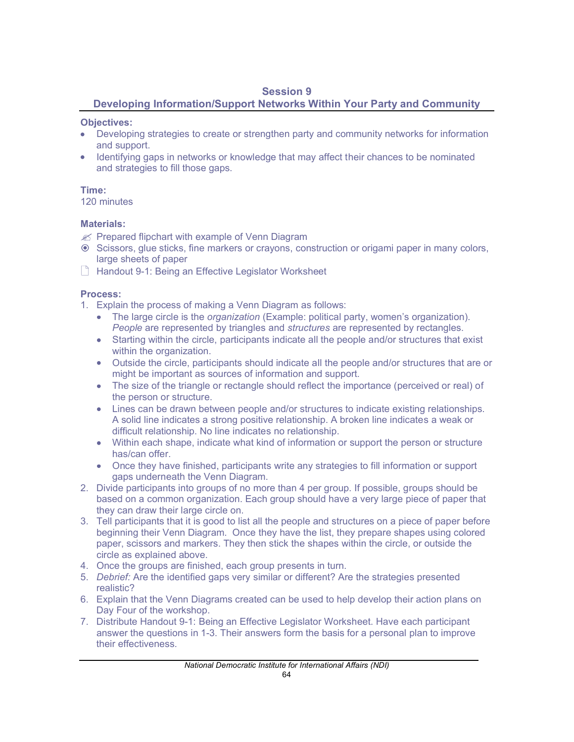# Session 9

# Developing Information/Support Networks Within Your Party and Community

### Objectives:

- Developing strategies to create or strengthen party and community networks for information and support.
- Identifying gaps in networks or knowledge that may affect their chances to be nominated and strategies to fill those gaps.

## Time:

120 minutes

## Materials:

- $\mathscr{L}$  Prepared flipchart with example of Venn Diagram
- Scissors, glue sticks, fine markers or crayons, construction or origami paper in many colors, large sheets of paper
- $\Box$  Handout 9-1: Being an Effective Legislator Worksheet

- 1. Explain the process of making a Venn Diagram as follows:
	- The large circle is the *organization* (Example: political party, women's organization). *People* are represented by triangles and *structures* are represented by rectangles.
	- Starting within the circle, participants indicate all the people and/or structures that exist within the organization.
	- Outside the circle, participants should indicate all the people and/or structures that are or might be important as sources of information and support.
	- The size of the triangle or rectangle should reflect the importance (perceived or real) of the person or structure.
	- Lines can be drawn between people and/or structures to indicate existing relationships. A solid line indicates a strong positive relationship. A broken line indicates a weak or difficult relationship. No line indicates no relationship.
	- Within each shape, indicate what kind of information or support the person or structure has/can offer.
	- Once they have finished, participants write any strategies to fill information or support gaps underneath the Venn Diagram.
- 2. Divide participants into groups of no more than 4 per group. If possible, groups should be based on a common organization. Each group should have a very large piece of paper that they can draw their large circle on.
- 3. Tell participants that it is good to list all the people and structures on a piece of paper before beginning their Venn Diagram. Once they have the list, they prepare shapes using colored paper, scissors and markers. They then stick the shapes within the circle, or outside the circle as explained above.
- 4. Once the groups are finished, each group presents in turn.
- 5. *Debrief:* Are the identified gaps very similar or different? Are the strategies presented realistic?
- 6. Explain that the Venn Diagrams created can be used to help develop their action plans on Day Four of the workshop.
- 7. Distribute Handout 9-1: Being an Effective Legislator Worksheet. Have each participant answer the questions in 1-3. Their answers form the basis for a personal plan to improve their effectiveness.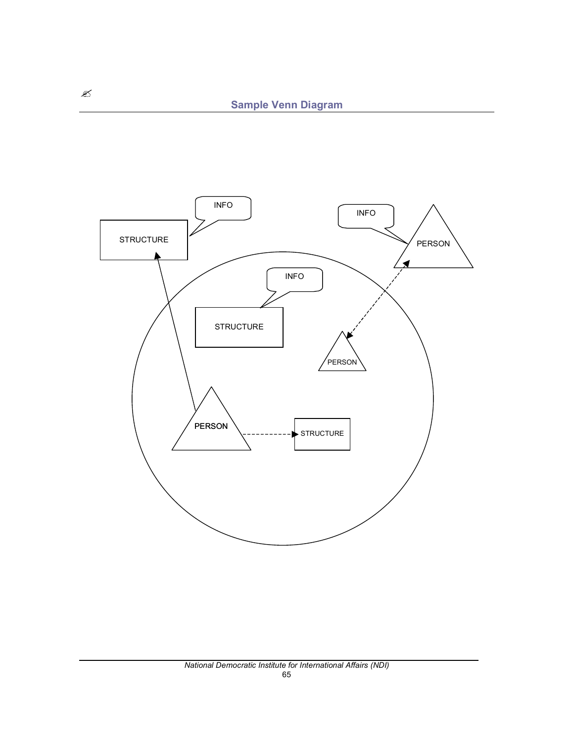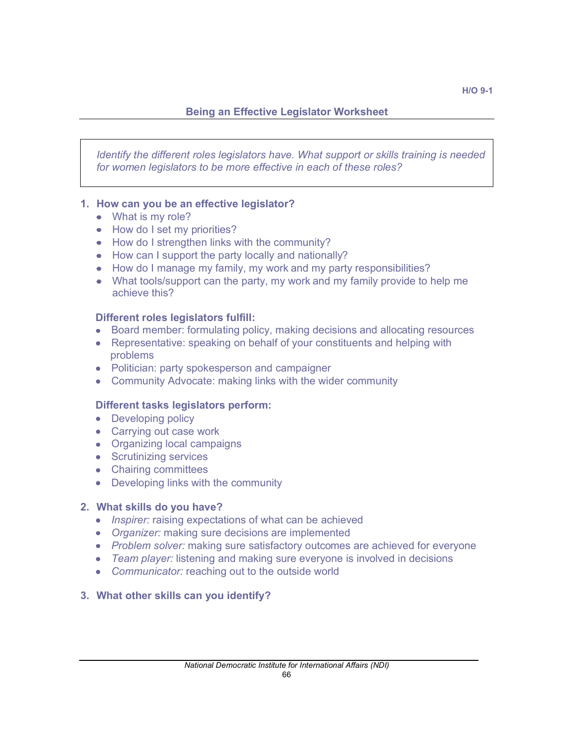# Being an Effective Legislator Worksheet

*Identify the different roles legislators have. What support or skills training is needed for women legislators to be more effective in each of these roles?* 

## 1. How can you be an effective legislator?

- What is my role?
- How do I set my priorities?
- How do I strengthen links with the community?
- How can I support the party locally and nationally?
- How do I manage my family, my work and my party responsibilities?
- What tools/support can the party, my work and my family provide to help me achieve this?

#### Different roles legislators fulfill:

- Board member: formulating policy, making decisions and allocating resources
- Representative: speaking on behalf of your constituents and helping with problems
- Politician: party spokesperson and campaigner
- Community Advocate: making links with the wider community

#### Different tasks legislators perform:

- Developing policy
- Carrying out case work
- Organizing local campaigns
- Scrutinizing services
- Chairing committees
- Developing links with the community

#### 2. What skills do you have?

- *Inspirer:* raising expectations of what can be achieved
- *Organizer:* making sure decisions are implemented
- *Problem solver:* making sure satisfactory outcomes are achieved for everyone
- *Team player:* listening and making sure everyone is involved in decisions
- *Communicator:* reaching out to the outside world

## 3. What other skills can you identify?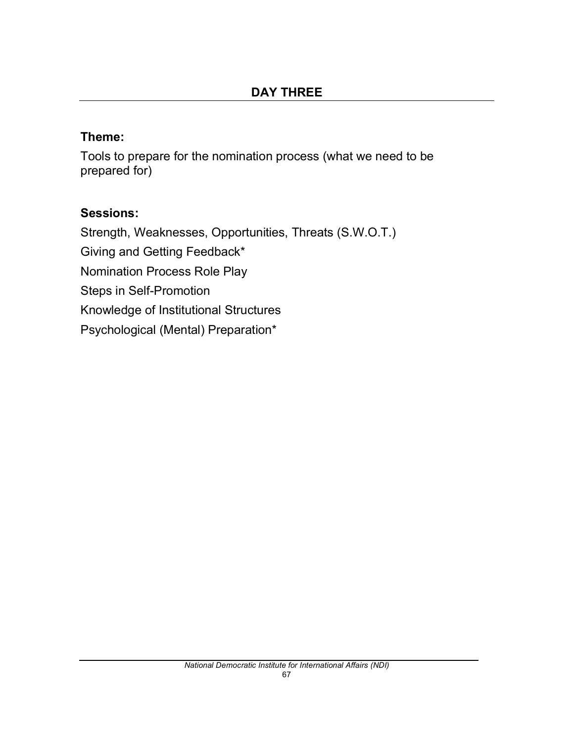# Theme:

Tools to prepare for the nomination process (what we need to be prepared for)

# Sessions:

Strength, Weaknesses, Opportunities, Threats (S.W.O.T.) Giving and Getting Feedback\* Nomination Process Role Play Steps in Self-Promotion Knowledge of Institutional Structures Psychological (Mental) Preparation\*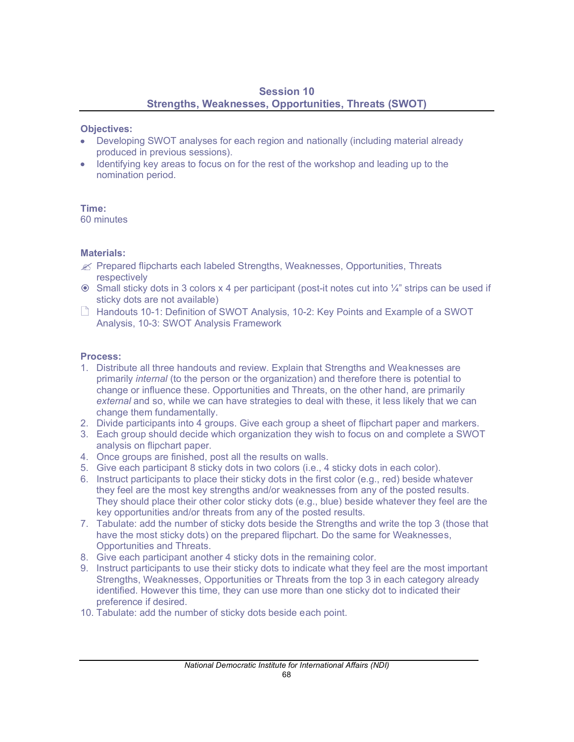# Session 10 Strengths, Weaknesses, Opportunities, Threats (SWOT)

#### Objectives:

- Developing SWOT analyses for each region and nationally (including material already produced in previous sessions).
- $\bullet$ Identifying key areas to focus on for the rest of the workshop and leading up to the nomination period.

#### Time:

60 minutes

## Materials:

- $\mathcal{L}$  Prepared flipcharts each labeled Strengths, Weaknesses, Opportunities, Threats respectively
- $\odot$  Small sticky dots in 3 colors x 4 per participant (post-it notes cut into  $\frac{1}{4}$ " strips can be used if sticky dots are not available)
- Handouts 10-1: Definition of SWOT Analysis, 10-2: Key Points and Example of a SWOT Analysis, 10-3: SWOT Analysis Framework

- 1. Distribute all three handouts and review. Explain that Strengths and Weaknesses are primarily *internal* (to the person or the organization) and therefore there is potential to change or influence these. Opportunities and Threats, on the other hand, are primarily *external* and so, while we can have strategies to deal with these, it less likely that we can change them fundamentally.
- 2. Divide participants into 4 groups. Give each group a sheet of flipchart paper and markers.
- 3. Each group should decide which organization they wish to focus on and complete a SWOT analysis on flipchart paper.
- 4. Once groups are finished, post all the results on walls.
- 5. Give each participant 8 sticky dots in two colors (i.e., 4 sticky dots in each color).
- 6. Instruct participants to place their sticky dots in the first color (e.g., red) beside whatever they feel are the most key strengths and/or weaknesses from any of the posted results. They should place their other color sticky dots (e.g., blue) beside whatever they feel are the key opportunities and/or threats from any of the posted results.
- 7. Tabulate: add the number of sticky dots beside the Strengths and write the top 3 (those that have the most sticky dots) on the prepared flipchart. Do the same for Weaknesses, Opportunities and Threats.
- 8. Give each participant another 4 sticky dots in the remaining color.
- 9. Instruct participants to use their sticky dots to indicate what they feel are the most important Strengths, Weaknesses, Opportunities or Threats from the top 3 in each category already identified. However this time, they can use more than one sticky dot to indicated their preference if desired.
- 10. Tabulate: add the number of sticky dots beside each point.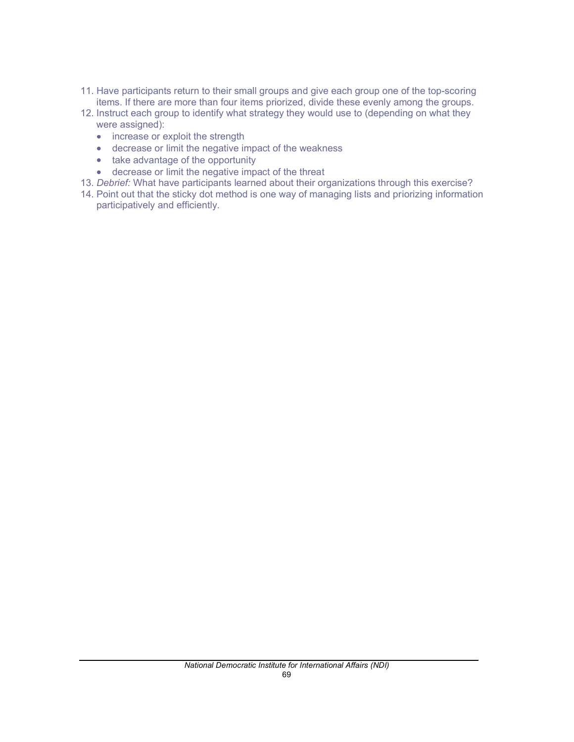- 11. Have participants return to their small groups and give each group one of the top-scoring items. If there are more than four items priorized, divide these evenly among the groups.
- 12. Instruct each group to identify what strategy they would use to (depending on what they were assigned):
	- increase or exploit the strength
	- decrease or limit the negative impact of the weakness
	- take advantage of the opportunity
	- decrease or limit the negative impact of the threat
- 13. *Debrief:* What have participants learned about their organizations through this exercise?
- 14. Point out that the sticky dot method is one way of managing lists and priorizing information participatively and efficiently.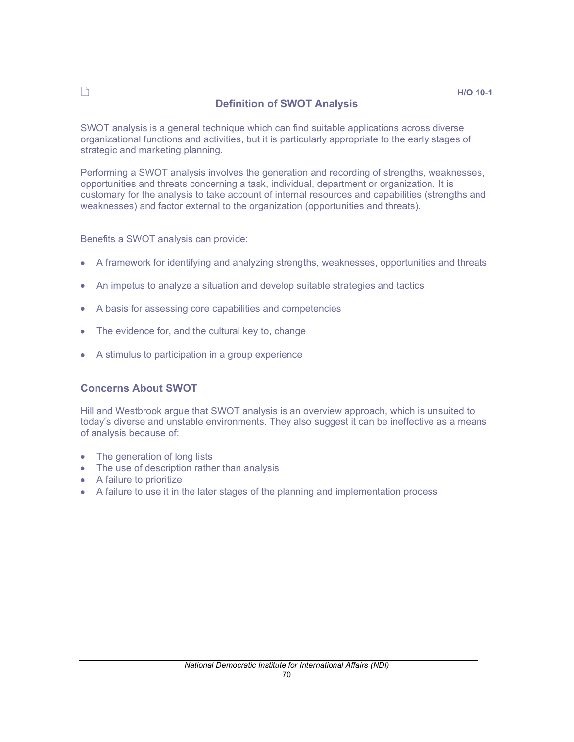#### Definition of SWOT Analysis

SWOT analysis is a general technique which can find suitable applications across diverse organizational functions and activities, but it is particularly appropriate to the early stages of strategic and marketing planning.

Performing a SWOT analysis involves the generation and recording of strengths, weaknesses, opportunities and threats concerning a task, individual, department or organization. It is customary for the analysis to take account of internal resources and capabilities (strengths and weaknesses) and factor external to the organization (opportunities and threats).

Benefits a SWOT analysis can provide:

- A framework for identifying and analyzing strengths, weaknesses, opportunities and threats  $\bullet$
- An impetus to analyze a situation and develop suitable strategies and tactics
- A basis for assessing core capabilities and competencies
- The evidence for, and the cultural key to, change
- A stimulus to participation in a group experience

#### Concerns About SWOT

Hill and Westbrook argue that SWOT analysis is an overview approach, which is unsuited to today's diverse and unstable environments. They also suggest it can be ineffective as a means of analysis because of:

- The generation of long lists  $\bullet$
- The use of description rather than analysis  $\bullet$
- A failure to prioritize
- A failure to use it in the later stages of the planning and implementation process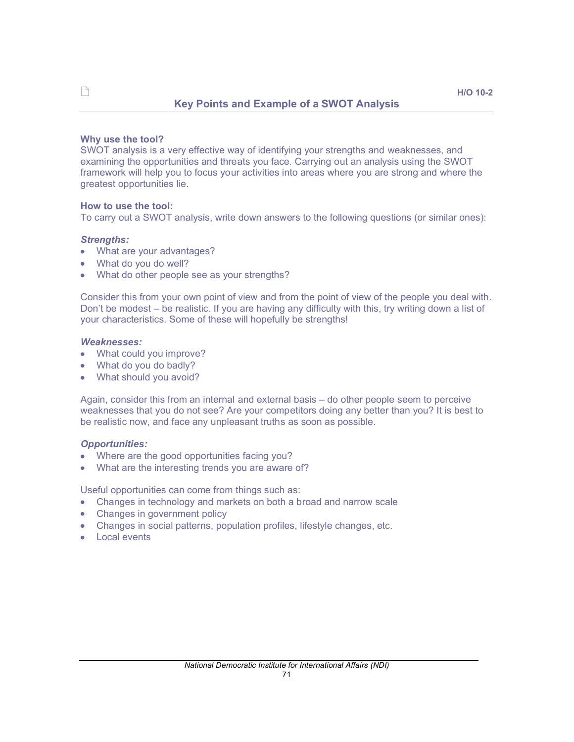#### Key Points and Example of a SWOT Analysis

#### Why use the tool?

SWOT analysis is a very effective way of identifying your strengths and weaknesses, and examining the opportunities and threats you face. Carrying out an analysis using the SWOT framework will help you to focus your activities into areas where you are strong and where the greatest opportunities lie.

#### How to use the tool:

To carry out a SWOT analysis, write down answers to the following questions (or similar ones):

#### *Strengths:*

- What are your advantages?
- What do you do well?
- What do other people see as your strengths?

Consider this from your own point of view and from the point of view of the people you deal with. Don't be modest – be realistic. If you are having any difficulty with this, try writing down a list of your characteristics. Some of these will hopefully be strengths!

#### *Weaknesses:*

- What could you improve?
- What do you do badly?
- What should you avoid?

Again, consider this from an internal and external basis – do other people seem to perceive weaknesses that you do not see? Are your competitors doing any better than you? It is best to be realistic now, and face any unpleasant truths as soon as possible.

#### *Opportunities:*

- Where are the good opportunities facing you?
- What are the interesting trends you are aware of?  $\bullet$

Useful opportunities can come from things such as:

- Changes in technology and markets on both a broad and narrow scale
- Changes in government policy
- Changes in social patterns, population profiles, lifestyle changes, etc.
- Local events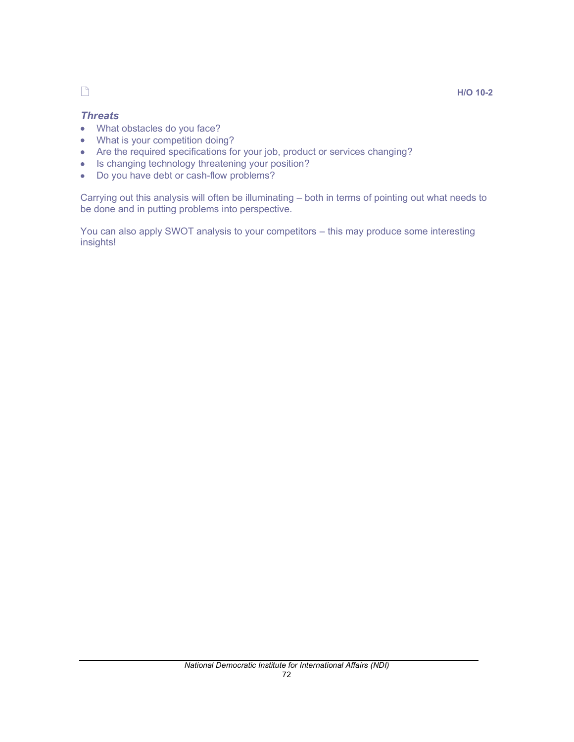$\Box$ 

#### H/O 10-2

# *Threats*

- What obstacles do you face?
- What is your competition doing?
- Are the required specifications for your job, product or services changing?
- Is changing technology threatening your position?  $\bullet$
- Do you have debt or cash-flow problems?  $\bullet$

Carrying out this analysis will often be illuminating – both in terms of pointing out what needs to be done and in putting problems into perspective.

You can also apply SWOT analysis to your competitors - this may produce some interesting insights!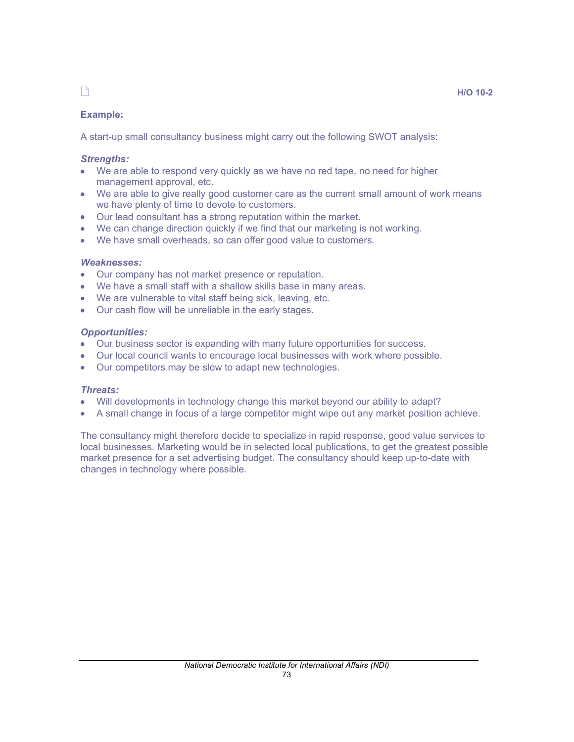#### H/O 10-2

### Example:

 $\Box$ 

A start-up small consultancy business might carry out the following SWOT analysis:

#### *Strengths:*

- $\bullet$ We are able to respond very quickly as we have no red tape, no need for higher management approval, etc.
- We are able to give really good customer care as the current small amount of work means we have plenty of time to devote to customers.
- Our lead consultant has a strong reputation within the market.
- We can change direction quickly if we find that our marketing is not working.
- We have small overheads, so can offer good value to customers.

#### *Weaknesses:*

- Our company has not market presence or reputation.
- We have a small staff with a shallow skills base in many areas.
- We are vulnerable to vital staff being sick, leaving, etc.
- Our cash flow will be unreliable in the early stages.  $\bullet$

#### *Opportunities:*

- Our business sector is expanding with many future opportunities for success.
- Our local council wants to encourage local businesses with work where possible.
- Our competitors may be slow to adapt new technologies.  $\bullet$

#### *Threats:*

- Will developments in technology change this market beyond our ability to adapt?
- A small change in focus of a large competitor might wipe out any market position achieve.

The consultancy might therefore decide to specialize in rapid response, good value services to local businesses. Marketing would be in selected local publications, to get the greatest possible market presence for a set advertising budget. The consultancy should keep up-to-date with changes in technology where possible.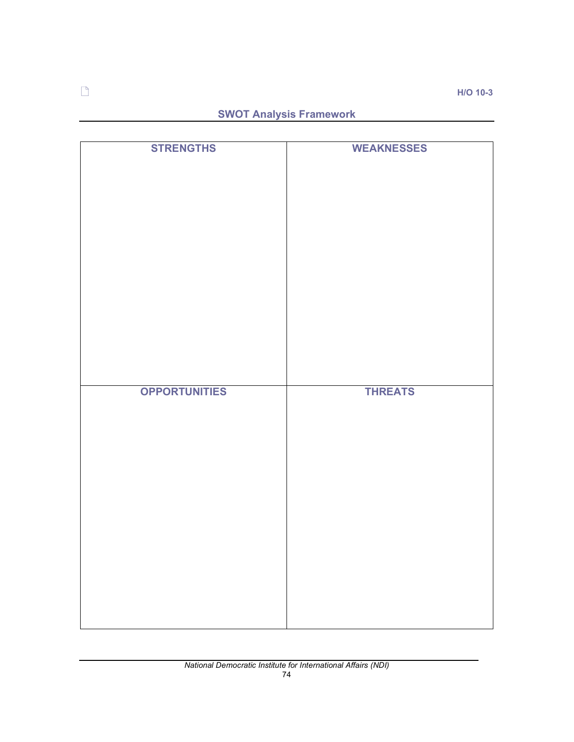# SWOT Analysis Framework

| <b>STRENGTHS</b>     | <b>WEAKNESSES</b> |
|----------------------|-------------------|
|                      |                   |
|                      |                   |
|                      |                   |
|                      |                   |
|                      |                   |
|                      |                   |
|                      |                   |
|                      |                   |
|                      |                   |
|                      |                   |
|                      |                   |
|                      |                   |
|                      |                   |
|                      |                   |
|                      |                   |
|                      |                   |
|                      |                   |
|                      |                   |
|                      |                   |
|                      |                   |
|                      |                   |
|                      |                   |
|                      |                   |
|                      |                   |
|                      |                   |
| <b>OPPORTUNITIES</b> | <b>THREATS</b>    |
|                      |                   |
|                      |                   |
|                      |                   |
|                      |                   |
|                      |                   |
|                      |                   |
|                      |                   |
|                      |                   |
|                      |                   |
|                      |                   |
|                      |                   |
|                      |                   |
|                      |                   |
|                      |                   |
|                      |                   |
|                      |                   |
|                      |                   |
|                      |                   |
|                      |                   |
|                      |                   |
|                      |                   |
|                      |                   |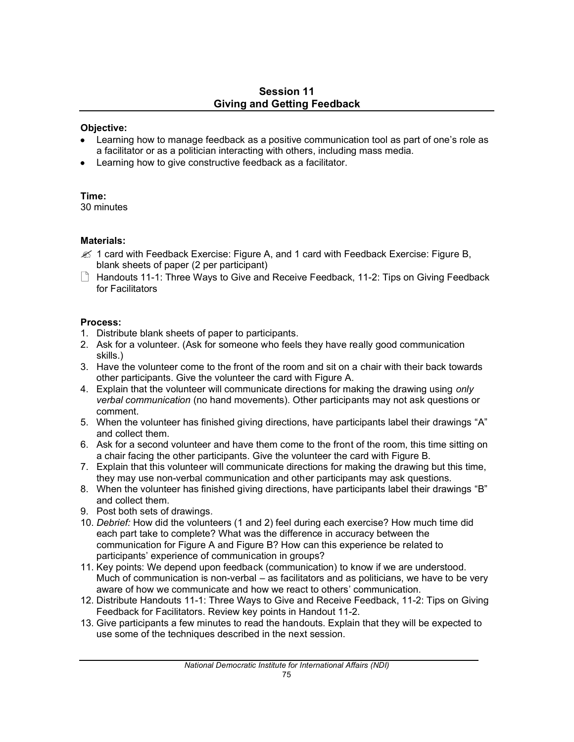# Session 11 Giving and Getting Feedback

#### Objective:

- Learning how to manage feedback as a positive communication tool as part of one's role as a facilitator or as a politician interacting with others, including mass media.
- Learning how to give constructive feedback as a facilitator.

#### Time:

30 minutes

## Materials:

- $\ll$  1 card with Feedback Exercise: Figure A, and 1 card with Feedback Exercise: Figure B, blank sheets of paper (2 per participant)
- $\Box$  Handouts 11-1: Three Ways to Give and Receive Feedback, 11-2: Tips on Giving Feedback for Facilitators

- 1. Distribute blank sheets of paper to participants.
- 2. Ask for a volunteer. (Ask for someone who feels they have really good communication skills.)
- 3. Have the volunteer come to the front of the room and sit on a chair with their back towards other participants. Give the volunteer the card with Figure A.
- 4. Explain that the volunteer will communicate directions for making the drawing using *only verbal communication* (no hand movements). Other participants may not ask questions or comment.
- 5. When the volunteer has finished giving directions, have participants label their drawings "A" and collect them.
- 6. Ask for a second volunteer and have them come to the front of the room, this time sitting on a chair facing the other participants. Give the volunteer the card with Figure B.
- 7. Explain that this volunteer will communicate directions for making the drawing but this time, they may use non-verbal communication and other participants may ask questions.
- 8. When the volunteer has finished giving directions, have participants label their drawings "B" and collect them.
- 9. Post both sets of drawings.
- 10. *Debrief:* How did the volunteers (1 and 2) feel during each exercise? How much time did each part take to complete? What was the difference in accuracy between the communication for Figure A and Figure B? How can this experience be related to participants' experience of communication in groups?
- 11. Key points: We depend upon feedback (communication) to know if we are understood. Much of communication is non-verbal  $-$  as facilitators and as politicians, we have to be very aware of how we communicate and how we react to others' communication.
- 12. Distribute Handouts 11-1: Three Ways to Give and Receive Feedback, 11-2: Tips on Giving Feedback for Facilitators. Review key points in Handout 11-2.
- 13. Give participants a few minutes to read the handouts. Explain that they will be expected to use some of the techniques described in the next session.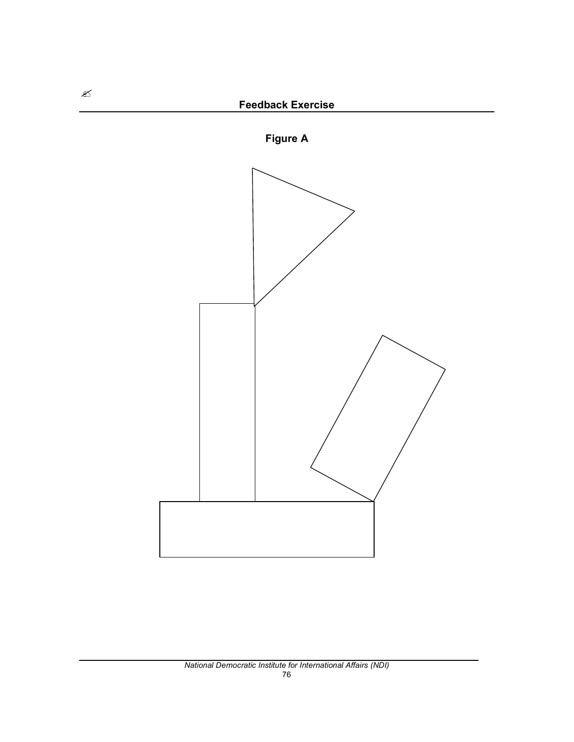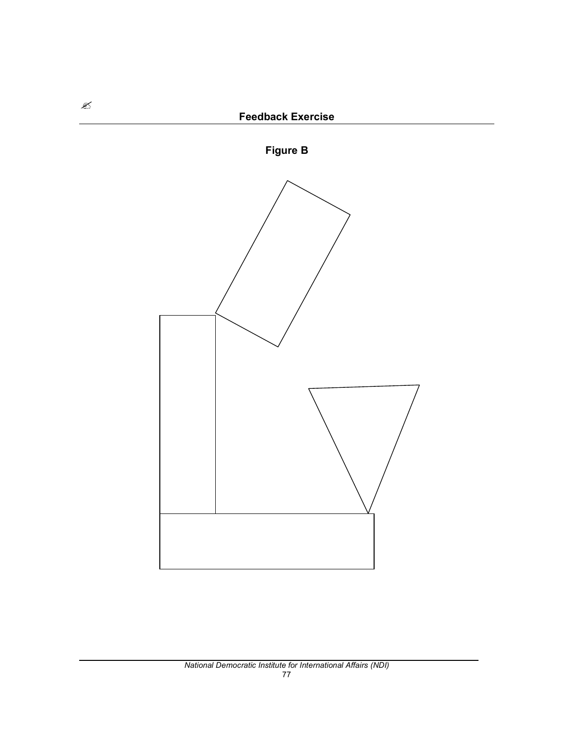

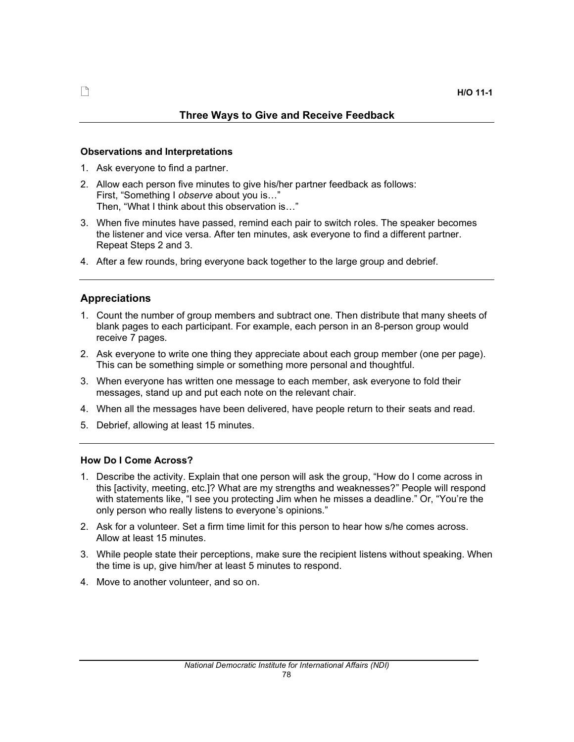#### Observations and Interpretations

- 1. Ask everyone to find a partner.
- 2. Allow each person five minutes to give his/her partner feedback as follows: First, "Something I *observe* about you is..." Then, "What I think about this observation is..."
- 3. When five minutes have passed, remind each pair to switch roles. The speaker becomes the listener and vice versa. After ten minutes, ask everyone to find a different partner. Repeat Steps 2 and 3.
- 4. After a few rounds, bring everyone back together to the large group and debrief.

#### Appreciations

- 1. Count the number of group members and subtract one. Then distribute that many sheets of blank pages to each participant. For example, each person in an 8-person group would receive 7 pages.
- 2. Ask everyone to write one thing they appreciate about each group member (one per page). This can be something simple or something more personal and thoughtful.
- 3. When everyone has written one message to each member, ask everyone to fold their messages, stand up and put each note on the relevant chair.
- 4. When all the messages have been delivered, have people return to their seats and read.
- 5. Debrief, allowing at least 15 minutes.

#### How Do I Come Across?

- 1. Describe the activity. Explain that one person will ask the group, "How do I come across in this [activity, meeting, etc.]? What are my strengths and weaknesses?" People will respond with statements like, "I see you protecting Jim when he misses a deadline." Or, "You're the only person who really listens to everyone's opinions."
- 2. Ask for a volunteer. Set a firm time limit for this person to hear how s/he comes across. Allow at least 15 minutes.
- 3. While people state their perceptions, make sure the recipient listens without speaking. When the time is up, give him/her at least 5 minutes to respond.
- 4. Move to another volunteer, and so on.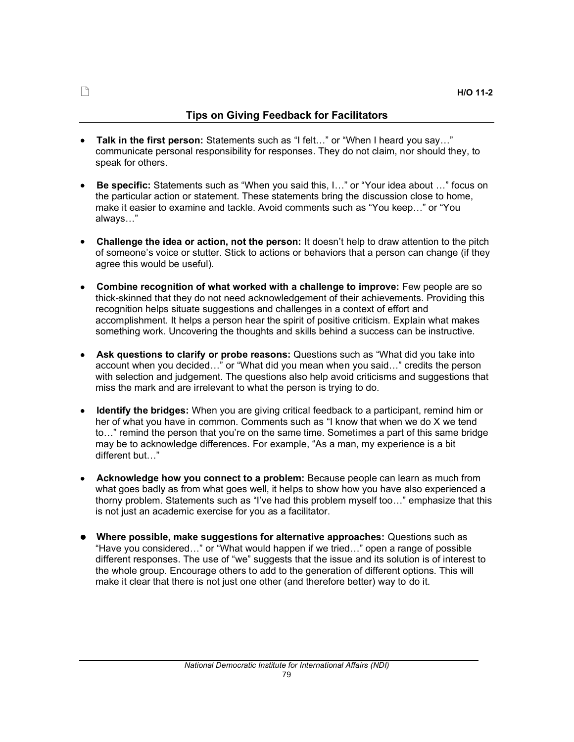## Tips on Giving Feedback for Facilitators

- Talk in the first person: Statements such as "I felt..." or "When I heard you say..." communicate personal responsibility for responses. They do not claim, nor should they, to speak for others.
- Be specific: Statements such as "When you said this, I..." or "Your idea about ..." focus on  $\bullet$ the particular action or statement. These statements bring the discussion close to home, make it easier to examine and tackle. Avoid comments such as "You keep..." or "You always
- Challenge the idea or action, not the person: It doesn't help to draw attention to the pitch  $\bullet$ of someone's voice or stutter. Stick to actions or behaviors that a person can change (if they agree this would be useful).
- Combine recognition of what worked with a challenge to improve: Few people are so thick-skinned that they do not need acknowledgement of their achievements. Providing this recognition helps situate suggestions and challenges in a context of effort and accomplishment. It helps a person hear the spirit of positive criticism. Explain what makes something work. Uncovering the thoughts and skills behind a success can be instructive.
- $\bullet$ Ask questions to clarify or probe reasons: Questions such as "What did you take into account when you decided..." or "What did you mean when you said..." credits the person with selection and judgement. The questions also help avoid criticisms and suggestions that miss the mark and are irrelevant to what the person is trying to do.
- Identify the bridges: When you are giving critical feedback to a participant, remind him or  $\bullet$ her of what you have in common. Comments such as "I know that when we do X we tend to..." remind the person that you're on the same time. Sometimes a part of this same bridge may be to acknowledge differences. For example, "As a man, my experience is a bit different but..."
- $\bullet$ Acknowledge how you connect to a problem: Because people can learn as much from what goes badly as from what goes well, it helps to show how you have also experienced a thorny problem. Statements such as "I've had this problem myself too..." emphasize that this is not just an academic exercise for you as a facilitator.
- Where possible, make suggestions for alternative approaches: Questions such as "Have you considered..." or "What would happen if we tried..." open a range of possible different responses. The use of "we" suggests that the issue and its solution is of interest to the whole group. Encourage others to add to the generation of different options. This will make it clear that there is not just one other (and therefore better) way to do it.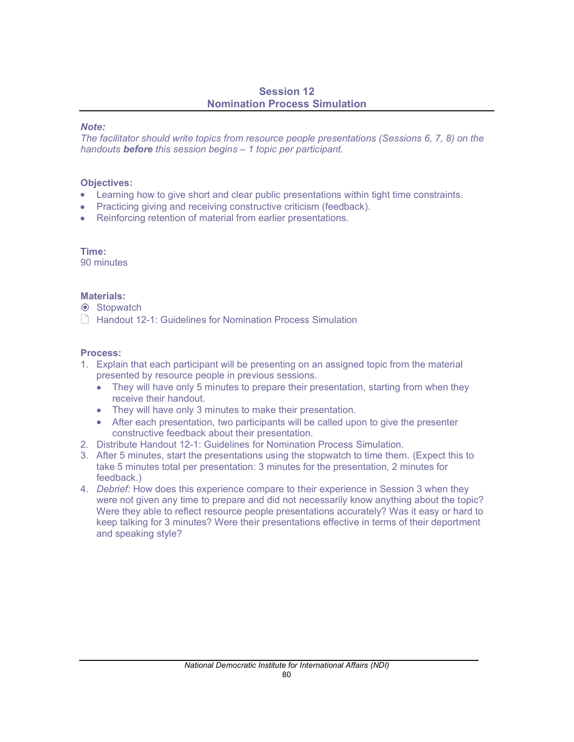## Session 12 Nomination Process Simulation

#### *Note:*

*The facilitator should write topics from resource people presentations (Sessions 6, 7, 8) on the handouts before this session begins 1 topic per participant.*

#### Objectives:

- Learning how to give short and clear public presentations within tight time constraints.
- Practicing giving and receiving constructive criticism (feedback).
- Reinforcing retention of material from earlier presentations.

#### Time:

90 minutes

#### Materials:

- Stopwatch
- Handout 12-1: Guidelines for Nomination Process Simulation

- 1. Explain that each participant will be presenting on an assigned topic from the material presented by resource people in previous sessions.
	- They will have only 5 minutes to prepare their presentation, starting from when they receive their handout.
	- They will have only 3 minutes to make their presentation.
	- After each presentation, two participants will be called upon to give the presenter constructive feedback about their presentation.
- 2. Distribute Handout 12-1: Guidelines for Nomination Process Simulation.
- 3. After 5 minutes, start the presentations using the stopwatch to time them. (Expect this to take 5 minutes total per presentation: 3 minutes for the presentation, 2 minutes for feedback.)
- 4. *Debrief:* How does this experience compare to their experience in Session 3 when they were not given any time to prepare and did not necessarily know anything about the topic? Were they able to reflect resource people presentations accurately? Was it easy or hard to keep talking for 3 minutes? Were their presentations effective in terms of their deportment and speaking style?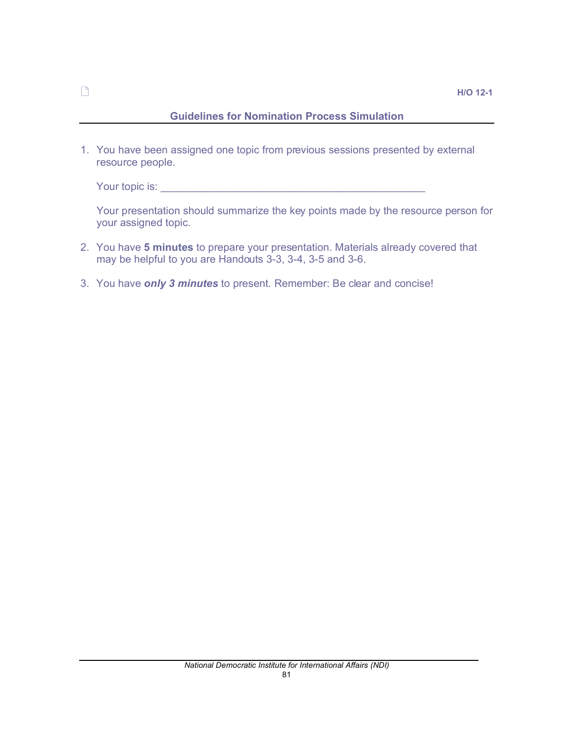### Guidelines for Nomination Process Simulation

1. You have been assigned one topic from previous sessions presented by external resource people.

Your topic is:  $\blacksquare$ 

Your presentation should summarize the key points made by the resource person for your assigned topic.

- 2. You have 5 minutes to prepare your presentation. Materials already covered that may be helpful to you are Handouts 3-3, 3-4, 3-5 and 3-6.
- 3. You have *only 3 minutes* to present. Remember: Be clear and concise!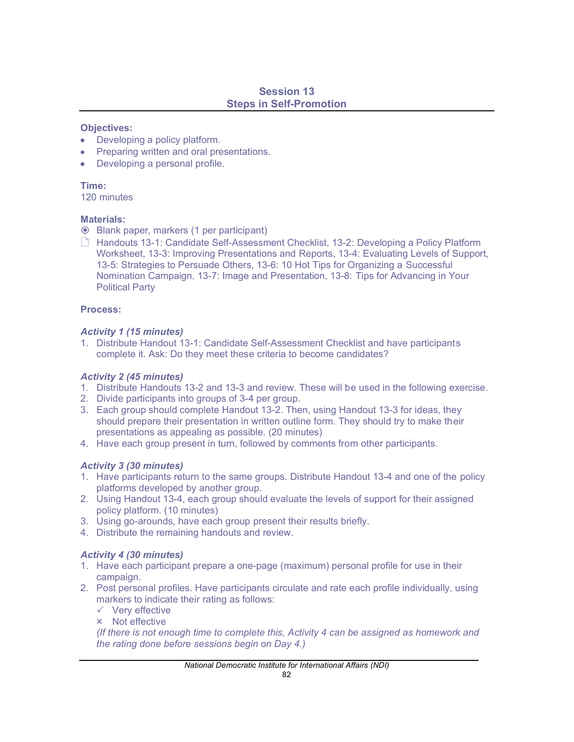### Session 13 Steps in Self-Promotion

#### Objectives:

- Developing a policy platform.
- Preparing written and oral presentations.
- Developing a personal profile.

#### Time:

120 minutes

#### Materials:

- Blank paper, markers (1 per participant)
- Handouts 13-1: Candidate Self-Assessment Checklist, 13-2: Developing a Policy Platform Worksheet, 13-3: Improving Presentations and Reports, 13-4: Evaluating Levels of Support, 13-5: Strategies to Persuade Others, 13-6: 10 Hot Tips for Organizing a Successful Nomination Campaign, 13-7: Image and Presentation, 13-8: Tips for Advancing in Your Political Party

#### Process:

#### *Activity 1 (15 minutes)*

1. Distribute Handout 13-1: Candidate Self-Assessment Checklist and have participants complete it. Ask: Do they meet these criteria to become candidates?

#### *Activity 2 (45 minutes)*

- 1. Distribute Handouts 13-2 and 13-3 and review. These will be used in the following exercise.
- 2. Divide participants into groups of 3-4 per group.
- 3. Each group should complete Handout 13-2. Then, using Handout 13-3 for ideas, they should prepare their presentation in written outline form. They should try to make their presentations as appealing as possible. (20 minutes)
- 4. Have each group present in turn, followed by comments from other participants.

## *Activity 3 (30 minutes)*

- 1. Have participants return to the same groups. Distribute Handout 13-4 and one of the policy platforms developed by another group.
- 2. Using Handout 13-4, each group should evaluate the levels of support for their assigned policy platform. (10 minutes)
- 3. Using go-arounds, have each group present their results briefly.
- 4. Distribute the remaining handouts and review.

## *Activity 4 (30 minutes)*

- 1. Have each participant prepare a one-page (maximum) personal profile for use in their campaign.
- 2. Post personal profiles. Have participants circulate and rate each profile individually, using markers to indicate their rating as follows:
	- $\checkmark$  Very effective
	- **x** Not effective

*(If there is not enough time to complete this, Activity 4 can be assigned as homework and the rating done before sessions begin on Day 4.)*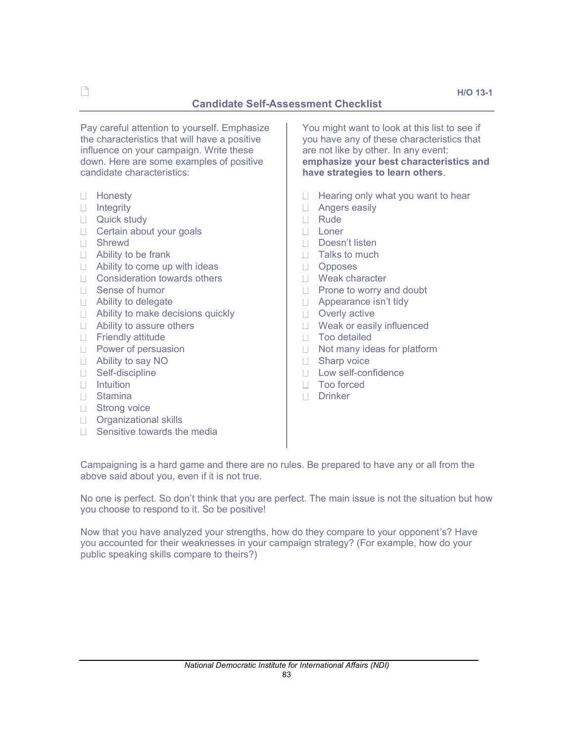# Candidate Self-Assessment Checklist

Pay careful attention to yourself. Emphasize the characteristics that will have a positive influence on your campaign. Write these down. Here are some examples of positive candidate characteristics:

- II Honesty
- $\Box$  Integrity
- □ Quick study
- $\Box$  Certain about your goals
- Shrewd
- $\Box$  Ability to be frank
- $\Box$  Ability to come up with ideas
- $\Box$  Consideration towards others
- □ Sense of humor
- **□** Ability to delegate
- $\Box$  Ability to make decisions quickly
- $\Box$  Ability to assure others
- $\Box$  Friendly attitude
- **Power of persuasion**
- Ability to say NO
- □ Self-discipline
- **II** Intuition
- Stamina
- **□ Strong voice**
- Organizational skills
- **II** Sensitive towards the media

You might want to look at this list to see if you have any of these characteristics that are not like by other. In any event: emphasize your best characteristics and have strategies to learn others.

- $\Box$  Hearing only what you want to hear
- **II** Angers easily
- Rude
- **Loner**
- II Doesn't listen
- II Talks to much
- Opposes
- Weak character
- $\Box$  Prone to worry and doubt
- $\Box$  Appearance isn't tidy
- □ Overly active
- **U** Weak or easily influenced
- $\Box$  Too detailed
- $\Box$  Not many ideas for platform
- □ Sharp voice
- Low self-confidence
- **Too forced**
- **II** Drinker

Campaigning is a hard game and there are no rules. Be prepared to have any or all from the above said about you, even if it is not true.

No one is perfect. So don't think that you are perfect. The main issue is not the situation but how you choose to respond to it. So be positive!

Now that you have analyzed your strengths, how do they compare to your opponent's? Have you accounted for their weaknesses in your campaign strategy? (For example, how do your public speaking skills compare to theirs?)

 $\Box$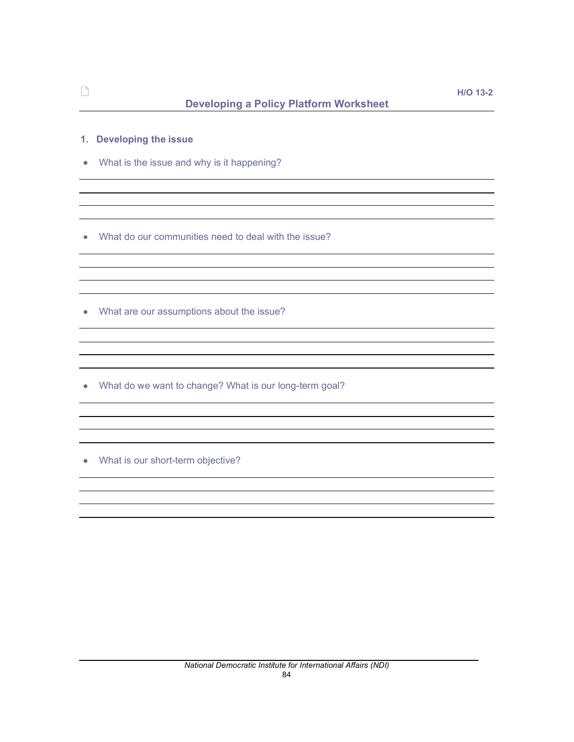#### 1. Developing the issue

- What is the issue and why is it happening?
- What do our communities need to deal with the issue?
- What are our assumptions about the issue?
- What do we want to change? What is our long-term goal?
- What is our short-term objective?

 $\Box$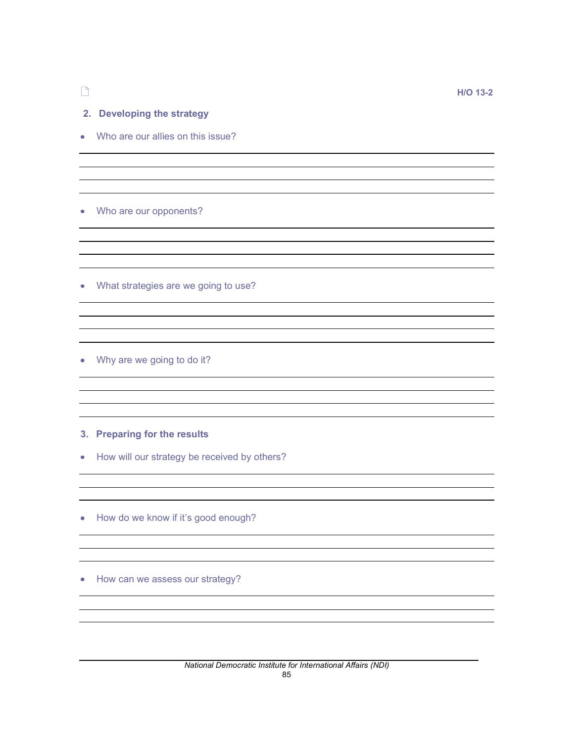$\Box$ 

#### 2. Developing the strategy

Who are our allies on this issue?  $\bullet$ 

Who are our opponents?

• What strategies are we going to use?

• Why are we going to do it?

#### 3. Preparing for the results

How will our strategy be received by others?  $\bullet$ 

How do we know if it's good enough?  $\bullet$ 

• How can we assess our strategy?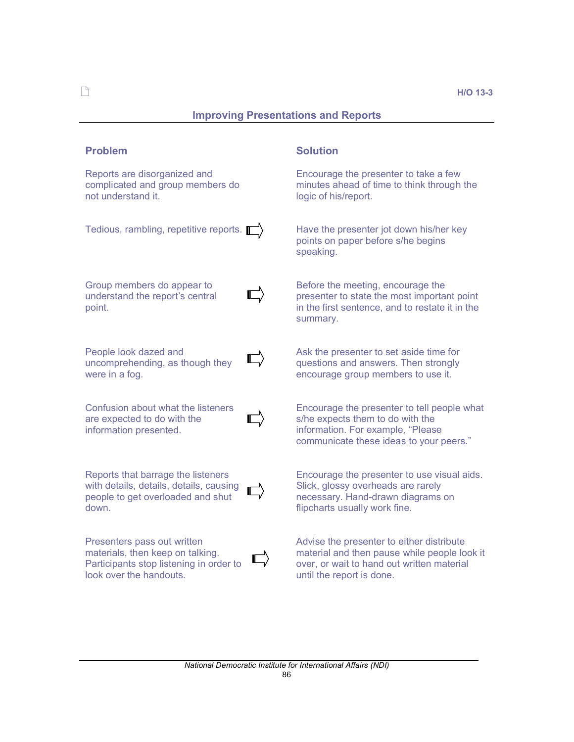# Improving Presentations and Reports

| <b>Problem</b>                                                                              | <b>Solution</b>                                                                                                                                                 |
|---------------------------------------------------------------------------------------------|-----------------------------------------------------------------------------------------------------------------------------------------------------------------|
| Reports are disorganized and                                                                | Encourage the presenter to take a few                                                                                                                           |
| complicated and group members do                                                            | minutes ahead of time to think through the                                                                                                                      |
| not understand it.                                                                          | logic of his/report.                                                                                                                                            |
| Tedious, rambling, repetitive reports.                                                      | Have the presenter jot down his/her key<br>points on paper before s/he begins<br>speaking.                                                                      |
| Group members do appear to<br>understand the report's central<br>point.                     | Before the meeting, encourage the<br>presenter to state the most important point<br>in the first sentence, and to restate it in the<br>summary.                 |
| People look dazed and                                                                       | Ask the presenter to set aside time for                                                                                                                         |
| uncomprehending, as though they                                                             | questions and answers. Then strongly                                                                                                                            |
| were in a fog.                                                                              | encourage group members to use it.                                                                                                                              |
| Confusion about what the listeners<br>are expected to do with the<br>information presented. | Encourage the presenter to tell people what<br>s/he expects them to do with the<br>information. For example, "Please<br>communicate these ideas to your peers." |
| Reports that barrage the listeners                                                          | Encourage the presenter to use visual aids.                                                                                                                     |
| with details, details, details, causing                                                     | Slick, glossy overheads are rarely                                                                                                                              |
| people to get overloaded and shut                                                           | necessary. Hand-drawn diagrams on                                                                                                                               |
| down.                                                                                       | flipcharts usually work fine.                                                                                                                                   |
| Presenters pass out written                                                                 | Advise the presenter to either distribute                                                                                                                       |
| materials, then keep on talking.                                                            | material and then pause while people look it                                                                                                                    |
| Participants stop listening in order to                                                     | over, or wait to hand out written material                                                                                                                      |
| look over the handouts.                                                                     | until the report is done.                                                                                                                                       |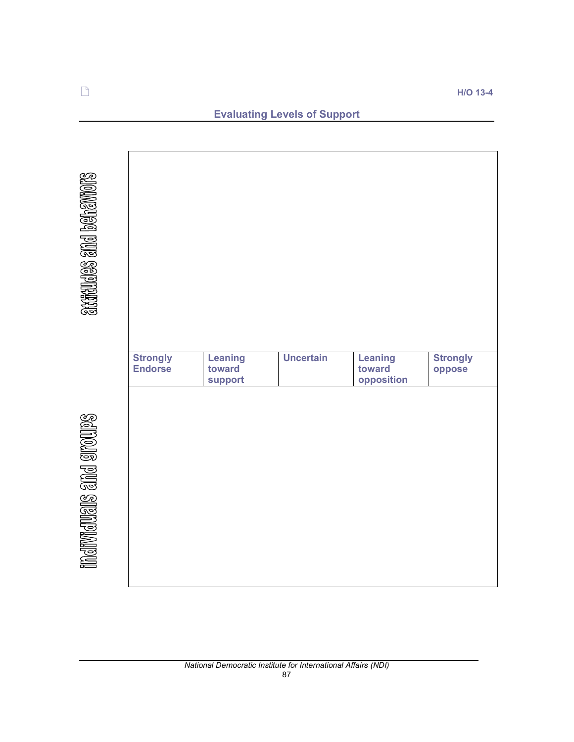# Evaluating Levels of Support

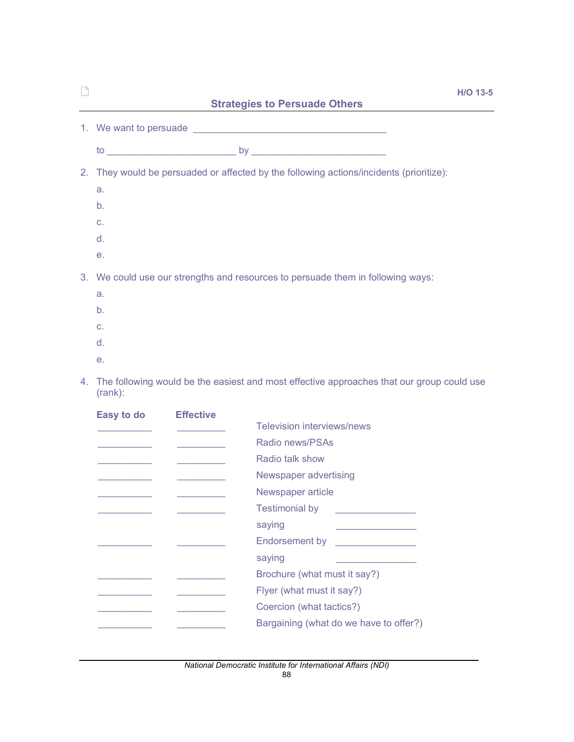| $\Box$ |                                                                                         | H/O 13-5 |
|--------|-----------------------------------------------------------------------------------------|----------|
|        | <b>Strategies to Persuade Others</b>                                                    |          |
|        |                                                                                         |          |
|        |                                                                                         |          |
|        | 2. They would be persuaded or affected by the following actions/incidents (prioritize): |          |
|        | a.                                                                                      |          |
|        | b.                                                                                      |          |
|        | C.                                                                                      |          |
|        | d.                                                                                      |          |
|        | е.                                                                                      |          |
|        | 3. We could use our strengths and resources to persuade them in following ways:         |          |
|        | a.                                                                                      |          |
|        | b.                                                                                      |          |
|        | C.                                                                                      |          |
|        | $\mathsf{d}$ .                                                                          |          |
|        | е.                                                                                      |          |

4. The following would be the easiest and most effective approaches that our group could use (rank):

| Easy to do | <b>Effective</b> |                                                                                                                                          |  |
|------------|------------------|------------------------------------------------------------------------------------------------------------------------------------------|--|
|            |                  | Television interviews/news                                                                                                               |  |
|            |                  | Radio news/PSAs                                                                                                                          |  |
|            |                  | Radio talk show                                                                                                                          |  |
|            |                  | Newspaper advertising                                                                                                                    |  |
|            |                  | Newspaper article                                                                                                                        |  |
|            |                  | <b>Testimonial by</b>                                                                                                                    |  |
|            |                  | saying                                                                                                                                   |  |
|            |                  | Endorsement by<br><u> 1980 - Alexandr Alexandr Alexandr Alexandr Alexandr Alexandr Alexandr Alexandr Alexandr Alexandr Alexandr Alex</u> |  |
|            |                  | saying                                                                                                                                   |  |
|            |                  | Brochure (what must it say?)                                                                                                             |  |
|            |                  | Flyer (what must it say?)                                                                                                                |  |
|            |                  | Coercion (what tactics?)                                                                                                                 |  |
|            |                  | Bargaining (what do we have to offer?)                                                                                                   |  |
|            |                  |                                                                                                                                          |  |

#### *National Democratic Institute for International Affairs (NDI)*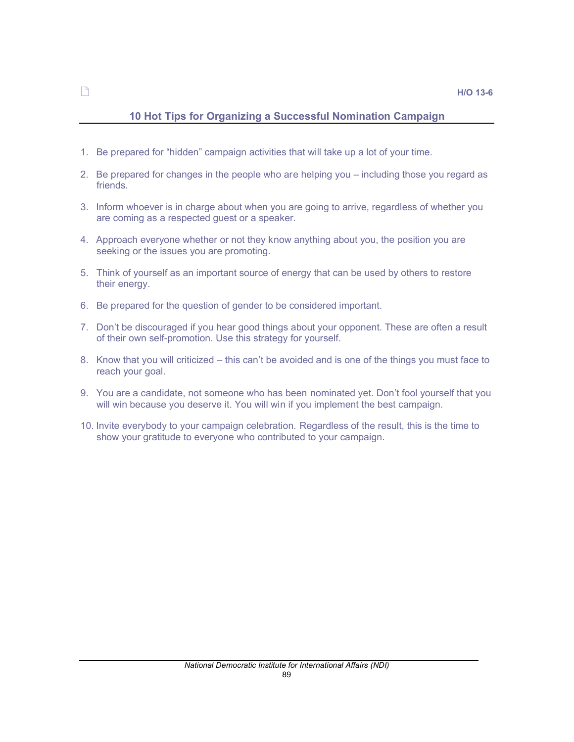# $\bigcap$

# 10 Hot Tips for Organizing a Successful Nomination Campaign

- 1. Be prepared for "hidden" campaign activities that will take up a lot of your time.
- 2. Be prepared for changes in the people who are helping you including those you regard as friends.
- 3. Inform whoever is in charge about when you are going to arrive, regardless of whether you are coming as a respected guest or a speaker.
- 4. Approach everyone whether or not they know anything about you, the position you are seeking or the issues you are promoting.
- 5. Think of yourself as an important source of energy that can be used by others to restore their energy.
- 6. Be prepared for the question of gender to be considered important.
- 7. Don't be discouraged if you hear good things about your opponent. These are often a result of their own self-promotion. Use this strategy for yourself.
- 8. Know that you will criticized this can't be avoided and is one of the things you must face to reach your goal.
- 9. You are a candidate, not someone who has been nominated yet. Don't fool yourself that you will win because you deserve it. You will win if you implement the best campaign.
- 10. Invite everybody to your campaign celebration. Regardless of the result, this is the time to show your gratitude to everyone who contributed to your campaign.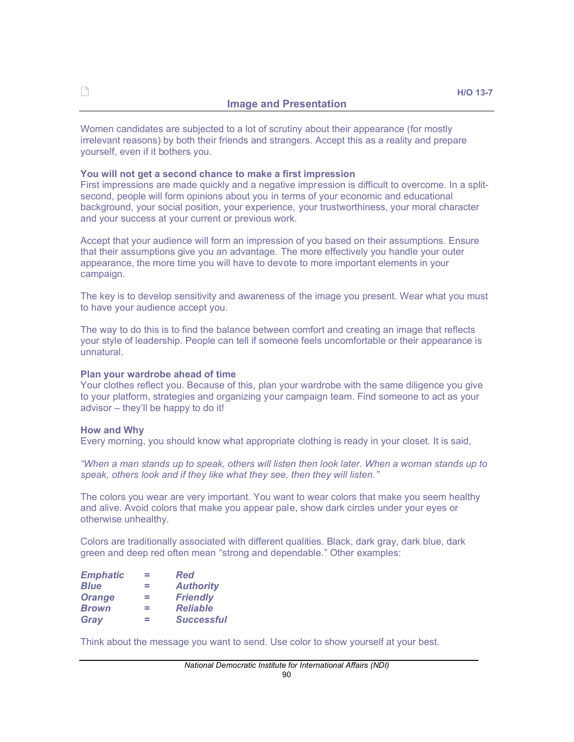Women candidates are subjected to a lot of scrutiny about their appearance (for mostly irrelevant reasons) by both their friends and strangers. Accept this as a reality and prepare yourself, even if it bothers you.

#### You will not get a second chance to make a first impression

First impressions are made quickly and a negative impression is difficult to overcome. In a splitsecond, people will form opinions about you in terms of your economic and educational background, your social position, your experience, your trustworthiness, your moral character and your success at your current or previous work.

Accept that your audience will form an impression of you based on their assumptions. Ensure that their assumptions give you an advantage. The more effectively you handle your outer appearance, the more time you will have to devote to more important elements in your campaign.

The key is to develop sensitivity and awareness of the image you present. Wear what you must to have your audience accept you.

The way to do this is to find the balance between comfort and creating an image that reflects your style of leadership. People can tell if someone feels uncomfortable or their appearance is unnatural.

#### Plan your wardrobe ahead of time

Your clothes reflect you. Because of this, plan your wardrobe with the same diligence you give to your platform, strategies and organizing your campaign team. Find someone to act as your  $advisor - they'll$  be happy to do it!

#### How and Why

Every morning, you should know what appropriate clothing is ready in your closet. It is said,

*When a man stands up to speak, others will listen then look later. When a woman stands up to speak, others look and if they like what they see, then they will listen.*

The colors you wear are very important. You want to wear colors that make you seem healthy and alive. Avoid colors that make you appear pale, show dark circles under your eyes or otherwise unhealthy.

Colors are traditionally associated with different qualities. Black, dark gray, dark blue, dark green and deep red often mean "strong and dependable." Other examples:

| <b>Emphatic</b> | - | <b>Red</b>        |  |
|-----------------|---|-------------------|--|
| <b>Blue</b>     | = | <b>Authority</b>  |  |
| <b>Orange</b>   | - | <b>Friendly</b>   |  |
| <b>Brown</b>    | - | <b>Reliable</b>   |  |
| Gray            | - | <b>Successful</b> |  |

Think about the message you want to send. Use color to show yourself at your best.

 $\Box$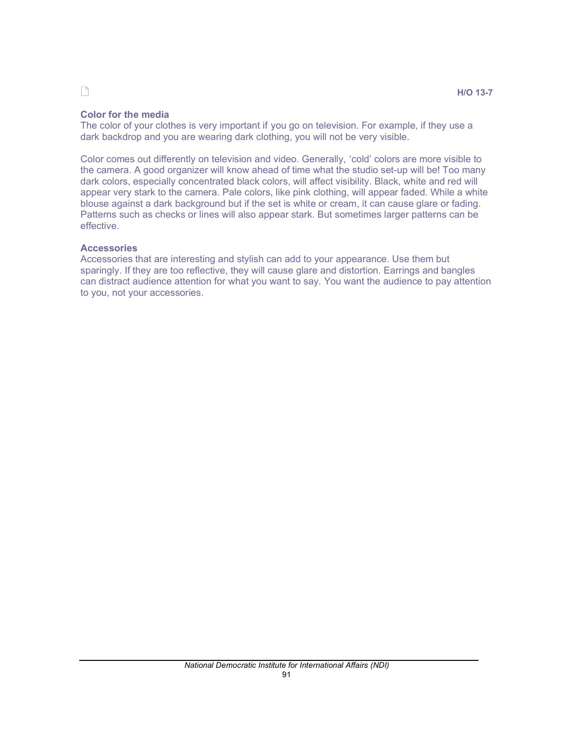# $\bigcap$

### Color for the media

The color of your clothes is very important if you go on television. For example, if they use a dark backdrop and you are wearing dark clothing, you will not be very visible.

Color comes out differently on television and video. Generally, 'cold' colors are more visible to the camera. A good organizer will know ahead of time what the studio set-up will be! Too many dark colors, especially concentrated black colors, will affect visibility. Black, white and red will appear very stark to the camera. Pale colors, like pink clothing, will appear faded. While a white blouse against a dark background but if the set is white or cream, it can cause glare or fading. Patterns such as checks or lines will also appear stark. But sometimes larger patterns can be effective.

#### **Accessories**

Accessories that are interesting and stylish can add to your appearance. Use them but sparingly. If they are too reflective, they will cause glare and distortion. Earrings and bangles can distract audience attention for what you want to say. You want the audience to pay attention to you, not your accessories.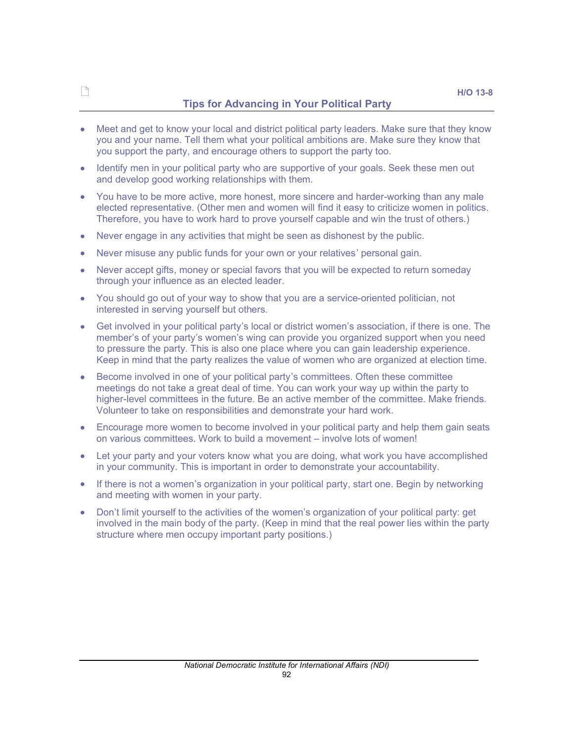## Tips for Advancing in Your Political Party

- Meet and get to know your local and district political party leaders. Make sure that they know you and your name. Tell them what your political ambitions are. Make sure they know that you support the party, and encourage others to support the party too.
- Identify men in your political party who are supportive of your goals. Seek these men out and develop good working relationships with them.
- You have to be more active, more honest, more sincere and harder-working than any male  $\bullet$  . elected representative. (Other men and women will find it easy to criticize women in politics. Therefore, you have to work hard to prove yourself capable and win the trust of others.)
- Never engage in any activities that might be seen as dishonest by the public.  $\ddot{\phantom{a}}$
- Never misuse any public funds for your own or your relatives' personal gain.  $\bullet$
- Never accept gifts, money or special favors that you will be expected to return someday  $\bullet$ through your influence as an elected leader.
- You should go out of your way to show that you are a service-oriented politician, not  $\bullet$ interested in serving yourself but others.
- Get involved in your political party's local or district women's association, if there is one. The member's of your party's women's wing can provide you organized support when you need to pressure the party. This is also one place where you can gain leadership experience. Keep in mind that the party realizes the value of women who are organized at election time.
- Become involved in one of your political party's committees. Often these committee  $\bullet$ meetings do not take a great deal of time. You can work your way up within the party to higher-level committees in the future. Be an active member of the committee. Make friends. Volunteer to take on responsibilities and demonstrate your hard work.
- Encourage more women to become involved in your political party and help them gain seats on various committees. Work to build a movement – involve lots of women!
- Let your party and your voters know what you are doing, what work you have accomplished  $\bullet$ in your community. This is important in order to demonstrate your accountability.
- If there is not a women's organization in your political party, start one. Begin by networking and meeting with women in your party.
- Don't limit yourself to the activities of the women's organization of your political party: get  $\bullet$ involved in the main body of the party. (Keep in mind that the real power lies within the party structure where men occupy important party positions.)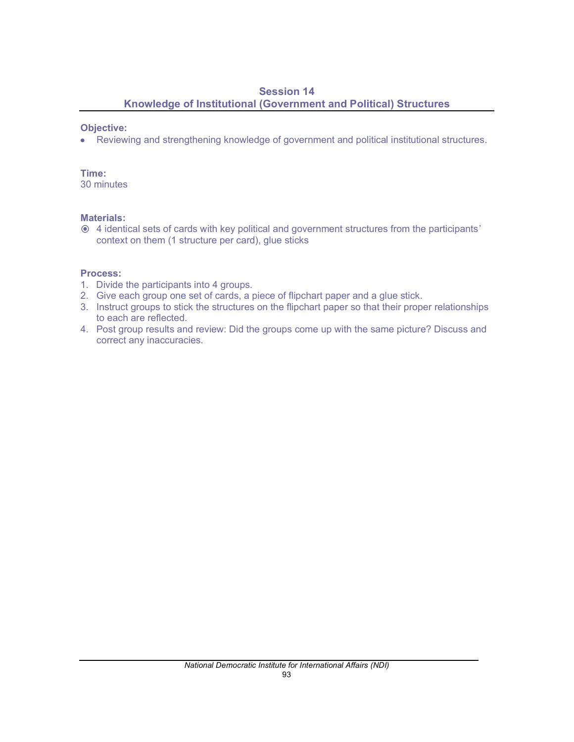## Session 14

# Knowledge of Institutional (Government and Political) Structures

### Objective:

Reviewing and strengthening knowledge of government and political institutional structures.

#### Time:

30 minutes

## Materials:

4 identical sets of cards with key political and government structures from the participants context on them (1 structure per card), glue sticks

- 1. Divide the participants into 4 groups.
- 2. Give each group one set of cards, a piece of flipchart paper and a glue stick.
- 3. Instruct groups to stick the structures on the flipchart paper so that their proper relationships to each are reflected.
- 4. Post group results and review: Did the groups come up with the same picture? Discuss and correct any inaccuracies.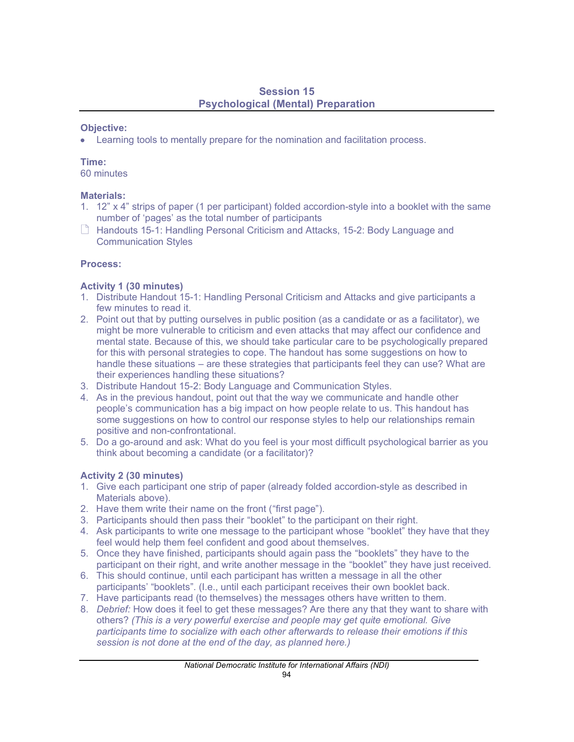## Session 15 Psychological (Mental) Preparation

#### Objective:

Learning tools to mentally prepare for the nomination and facilitation process.

#### Time:

60 minutes

#### Materials:

- 1. 12" x 4" strips of paper (1 per participant) folded accordion-style into a booklet with the same number of 'pages' as the total number of participants
- $\Box$  Handouts 15-1: Handling Personal Criticism and Attacks, 15-2: Body Language and Communication Styles

## Process:

#### Activity 1 (30 minutes)

- 1. Distribute Handout 15-1: Handling Personal Criticism and Attacks and give participants a few minutes to read it.
- 2. Point out that by putting ourselves in public position (as a candidate or as a facilitator), we might be more vulnerable to criticism and even attacks that may affect our confidence and mental state. Because of this, we should take particular care to be psychologically prepared for this with personal strategies to cope. The handout has some suggestions on how to handle these situations – are these strategies that participants feel they can use? What are their experiences handling these situations?
- 3. Distribute Handout 15-2: Body Language and Communication Styles.
- 4. As in the previous handout, point out that the way we communicate and handle other people's communication has a big impact on how people relate to us. This handout has some suggestions on how to control our response styles to help our relationships remain positive and non-confrontational.
- 5. Do a go-around and ask: What do you feel is your most difficult psychological barrier as you think about becoming a candidate (or a facilitator)?

## Activity 2 (30 minutes)

- 1. Give each participant one strip of paper (already folded accordion-style as described in Materials above).
- 2. Have them write their name on the front ("first page").
- 3. Participants should then pass their "booklet" to the participant on their right.
- 4. Ask participants to write one message to the participant whose "booklet" they have that they feel would help them feel confident and good about themselves.
- 5. Once they have finished, participants should again pass the "booklets" they have to the participant on their right, and write another message in the "booklet" they have just received.
- 6. This should continue, until each participant has written a message in all the other participants' "booklets". (I.e., until each participant receives their own booklet back.
- 7. Have participants read (to themselves) the messages others have written to them.
- 8. *Debrief:* How does it feel to get these messages? Are there any that they want to share with others? *(This is a very powerful exercise and people may get quite emotional. Give participants time to socialize with each other afterwards to release their emotions if this session is not done at the end of the day, as planned here.)*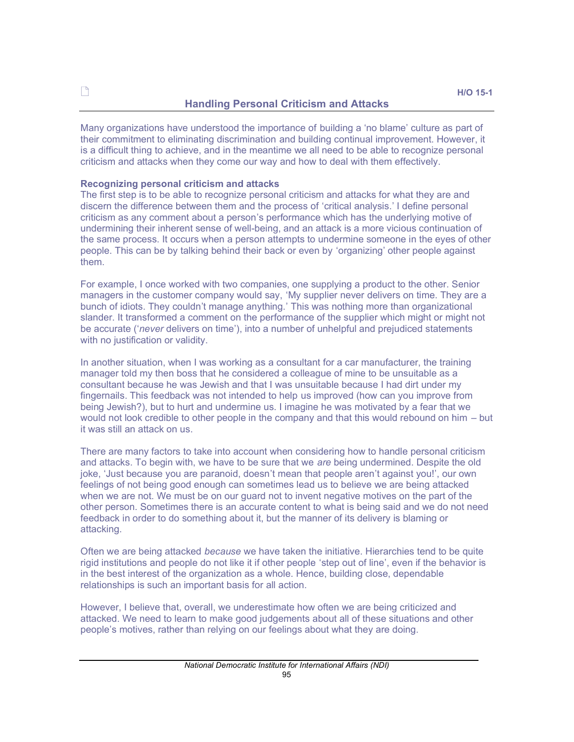#### Handling Personal Criticism and Attacks

Many organizations have understood the importance of building a 'no blame' culture as part of their commitment to eliminating discrimination and building continual improvement. However, it is a difficult thing to achieve, and in the meantime we all need to be able to recognize personal criticism and attacks when they come our way and how to deal with them effectively.

#### Recognizing personal criticism and attacks

The first step is to be able to recognize personal criticism and attacks for what they are and discern the difference between them and the process of 'critical analysis.' I define personal criticism as any comment about a person's performance which has the underlying motive of undermining their inherent sense of well-being, and an attack is a more vicious continuation of the same process. It occurs when a person attempts to undermine someone in the eyes of other people. This can be by talking behind their back or even by 'organizing' other people against them.

For example, I once worked with two companies, one supplying a product to the other. Senior managers in the customer company would say, 'My supplier never delivers on time. They are a bunch of idiots. They couldn't manage anything.' This was nothing more than organizational slander. It transformed a comment on the performance of the supplier which might or might not be accurate (*never* delivers on time), into a number of unhelpful and prejudiced statements with no justification or validity.

In another situation, when I was working as a consultant for a car manufacturer, the training manager told my then boss that he considered a colleague of mine to be unsuitable as a consultant because he was Jewish and that I was unsuitable because I had dirt under my fingernails. This feedback was not intended to help us improved (how can you improve from being Jewish?), but to hurt and undermine us. I imagine he was motivated by a fear that we would not look credible to other people in the company and that this would rebound on him  $-$  but it was still an attack on us.

There are many factors to take into account when considering how to handle personal criticism and attacks. To begin with, we have to be sure that we *are* being undermined. Despite the old joke, 'Just because you are paranoid, doesn't mean that people aren't against you!', our own feelings of not being good enough can sometimes lead us to believe we are being attacked when we are not. We must be on our guard not to invent negative motives on the part of the other person. Sometimes there is an accurate content to what is being said and we do not need feedback in order to do something about it, but the manner of its delivery is blaming or attacking.

Often we are being attacked *because* we have taken the initiative. Hierarchies tend to be quite rigid institutions and people do not like it if other people 'step out of line', even if the behavior is in the best interest of the organization as a whole. Hence, building close, dependable relationships is such an important basis for all action.

However, I believe that, overall, we underestimate how often we are being criticized and attacked. We need to learn to make good judgements about all of these situations and other people's motives, rather than relying on our feelings about what they are doing.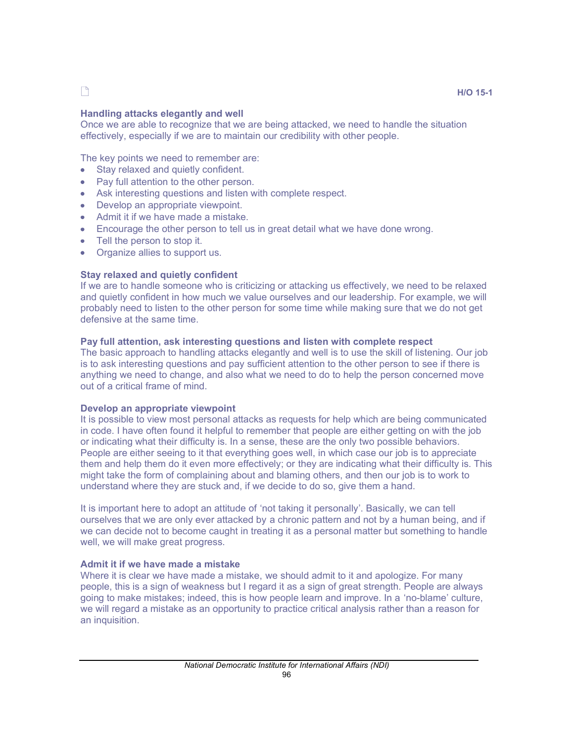# $\Box$

### Handling attacks elegantly and well

Once we are able to recognize that we are being attacked, we need to handle the situation effectively, especially if we are to maintain our credibility with other people.

The key points we need to remember are:

- Stay relaxed and quietly confident.  $\bullet$
- Pay full attention to the other person.
- Ask interesting questions and listen with complete respect.
- Develop an appropriate viewpoint.
- Admit it if we have made a mistake.
- Encourage the other person to tell us in great detail what we have done wrong.
- Tell the person to stop it.
- Organize allies to support us.

#### Stay relaxed and quietly confident

If we are to handle someone who is criticizing or attacking us effectively, we need to be relaxed and quietly confident in how much we value ourselves and our leadership. For example, we will probably need to listen to the other person for some time while making sure that we do not get defensive at the same time.

#### Pay full attention, ask interesting questions and listen with complete respect

The basic approach to handling attacks elegantly and well is to use the skill of listening. Our job is to ask interesting questions and pay sufficient attention to the other person to see if there is anything we need to change, and also what we need to do to help the person concerned move out of a critical frame of mind.

#### Develop an appropriate viewpoint

It is possible to view most personal attacks as requests for help which are being communicated in code. I have often found it helpful to remember that people are either getting on with the job or indicating what their difficulty is. In a sense, these are the only two possible behaviors. People are either seeing to it that everything goes well, in which case our job is to appreciate them and help them do it even more effectively; or they are indicating what their difficulty is. This might take the form of complaining about and blaming others, and then our job is to work to understand where they are stuck and, if we decide to do so, give them a hand.

It is important here to adopt an attitude of 'not taking it personally'. Basically, we can tell ourselves that we are only ever attacked by a chronic pattern and not by a human being, and if we can decide not to become caught in treating it as a personal matter but something to handle well, we will make great progress.

#### Admit it if we have made a mistake

Where it is clear we have made a mistake, we should admit to it and apologize. For many people, this is a sign of weakness but I regard it as a sign of great strength. People are always going to make mistakes; indeed, this is how people learn and improve. In a 'no-blame' culture, we will regard a mistake as an opportunity to practice critical analysis rather than a reason for an inquisition.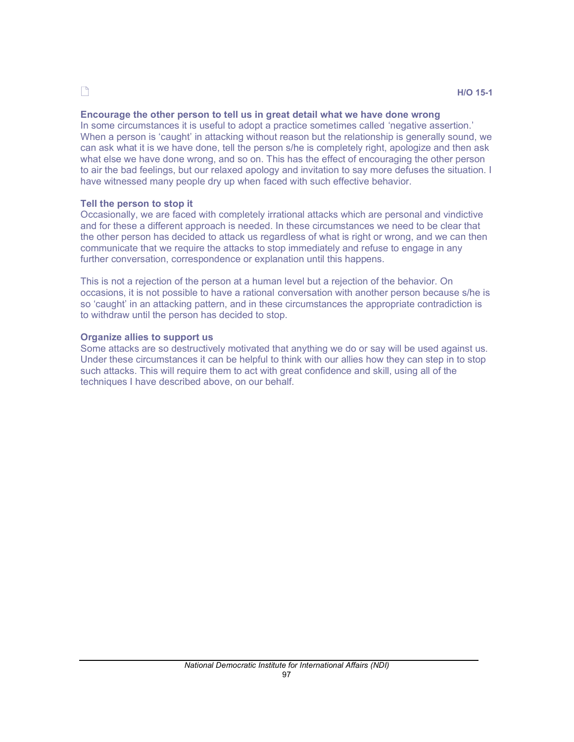#### Encourage the other person to tell us in great detail what we have done wrong

In some circumstances it is useful to adopt a practice sometimes called 'negative assertion.' When a person is 'caught' in attacking without reason but the relationship is generally sound, we can ask what it is we have done, tell the person s/he is completely right, apologize and then ask what else we have done wrong, and so on. This has the effect of encouraging the other person to air the bad feelings, but our relaxed apology and invitation to say more defuses the situation. I have witnessed many people dry up when faced with such effective behavior.

#### Tell the person to stop it

Occasionally, we are faced with completely irrational attacks which are personal and vindictive and for these a different approach is needed. In these circumstances we need to be clear that the other person has decided to attack us regardless of what is right or wrong, and we can then communicate that we require the attacks to stop immediately and refuse to engage in any further conversation, correspondence or explanation until this happens.

This is not a rejection of the person at a human level but a rejection of the behavior. On occasions, it is not possible to have a rational conversation with another person because s/he is so 'caught' in an attacking pattern, and in these circumstances the appropriate contradiction is to withdraw until the person has decided to stop.

#### Organize allies to support us

Some attacks are so destructively motivated that anything we do or say will be used against us. Under these circumstances it can be helpful to think with our allies how they can step in to stop such attacks. This will require them to act with great confidence and skill, using all of the techniques I have described above, on our behalf.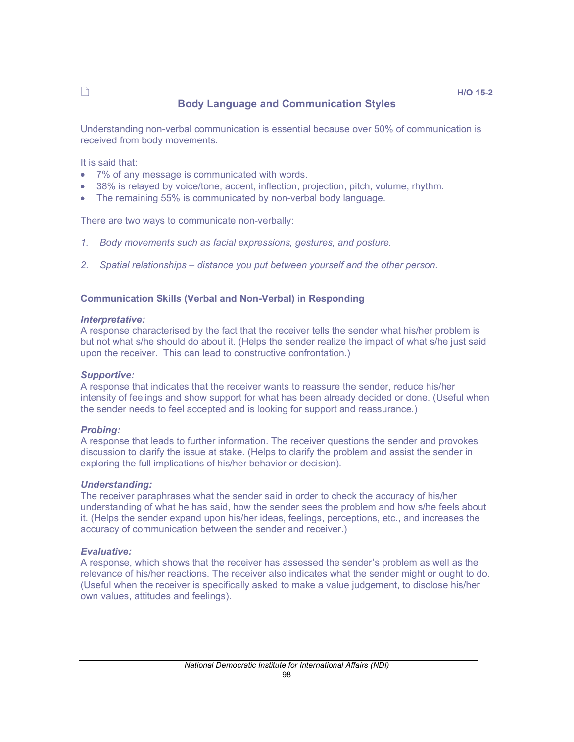#### Body Language and Communication Styles

Understanding non-verbal communication is essential because over 50% of communication is received from body movements.

It is said that:

- 7% of any message is communicated with words.
- 38% is relayed by voice/tone, accent, inflection, projection, pitch, volume, rhythm.
- The remaining 55% is communicated by non-verbal body language.

There are two ways to communicate non-verbally:

- *1. Body movements such as facial expressions, gestures, and posture.*
- *2. Spatial relationships distance you put between yourself and the other person.*

#### Communication Skills (Verbal and Non-Verbal) in Responding

#### *Interpretative:*

A response characterised by the fact that the receiver tells the sender what his/her problem is but not what s/he should do about it. (Helps the sender realize the impact of what s/he just said upon the receiver. This can lead to constructive confrontation.)

#### *Supportive:*

A response that indicates that the receiver wants to reassure the sender, reduce his/her intensity of feelings and show support for what has been already decided or done. (Useful when the sender needs to feel accepted and is looking for support and reassurance.)

#### *Probing:*

A response that leads to further information. The receiver questions the sender and provokes discussion to clarify the issue at stake. (Helps to clarify the problem and assist the sender in exploring the full implications of his/her behavior or decision).

#### *Understanding:*

The receiver paraphrases what the sender said in order to check the accuracy of his/her understanding of what he has said, how the sender sees the problem and how s/he feels about it. (Helps the sender expand upon his/her ideas, feelings, perceptions, etc., and increases the accuracy of communication between the sender and receiver.)

#### *Evaluative:*

A response, which shows that the receiver has assessed the sender's problem as well as the relevance of his/her reactions. The receiver also indicates what the sender might or ought to do. (Useful when the receiver is specifically asked to make a value judgement, to disclose his/her own values, attitudes and feelings).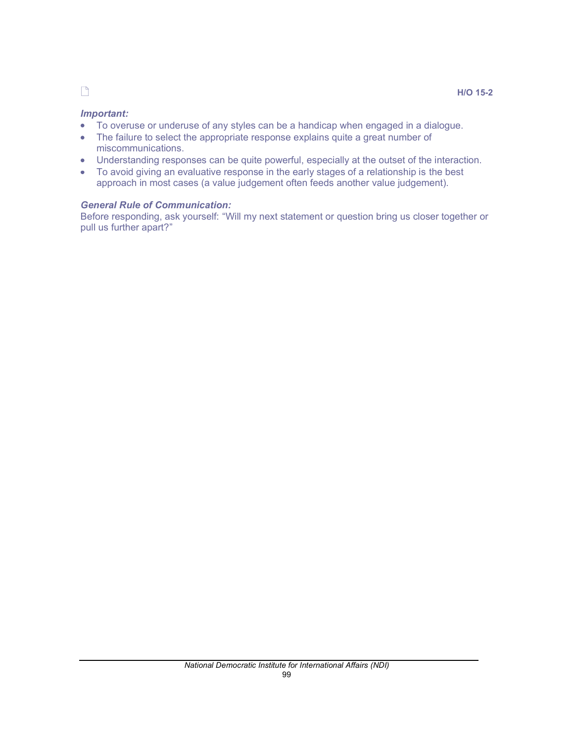H/O 15-2

### *Important:*

- To overuse or underuse of any styles can be a handicap when engaged in a dialogue.
- The failure to select the appropriate response explains quite a great number of miscommunications.
- Understanding responses can be quite powerful, especially at the outset of the interaction.  $\bullet$
- To avoid giving an evaluative response in the early stages of a relationship is the best approach in most cases (a value judgement often feeds another value judgement).

#### *General Rule of Communication:*

Before responding, ask yourself: Will my next statement or question bring us closer together or pull us further apart?"

 $\Box$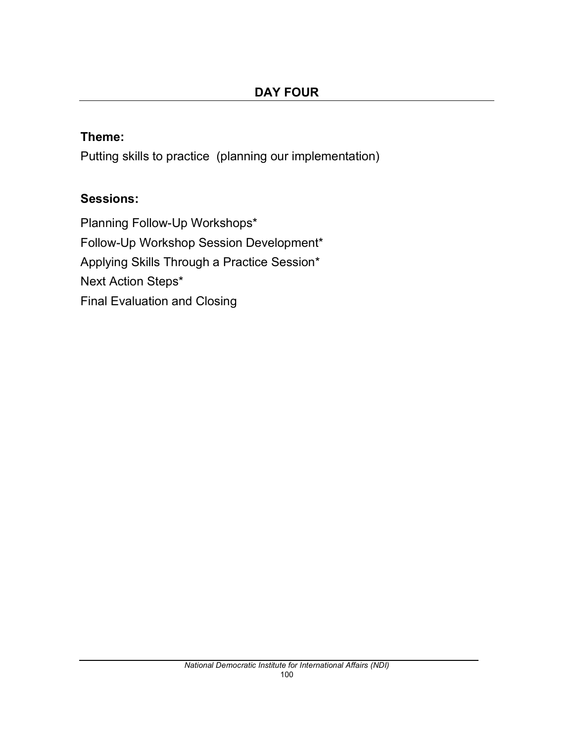# Theme:

Putting skills to practice (planning our implementation)

# Sessions:

Planning Follow-Up Workshops\* Follow-Up Workshop Session Development\* Applying Skills Through a Practice Session\* Next Action Steps\* Final Evaluation and Closing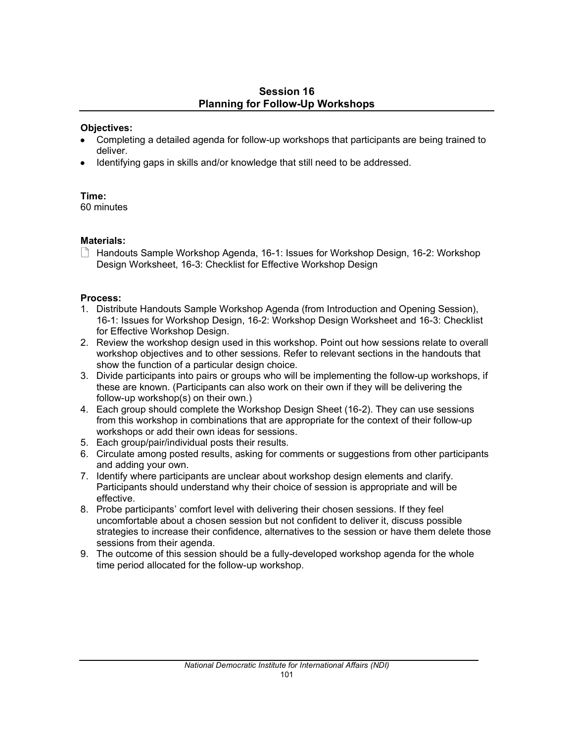# Session 16 Planning for Follow-Up Workshops

#### Objectives:

- Completing a detailed agenda for follow-up workshops that participants are being trained to deliver.
- Identifying gaps in skills and/or knowledge that still need to be addressed.

#### Time:

60 minutes

## Materials:

 $\Box$  Handouts Sample Workshop Agenda, 16-1: Issues for Workshop Design, 16-2: Workshop Design Worksheet, 16-3: Checklist for Effective Workshop Design

- 1. Distribute Handouts Sample Workshop Agenda (from Introduction and Opening Session), 16-1: Issues for Workshop Design, 16-2: Workshop Design Worksheet and 16-3: Checklist for Effective Workshop Design.
- 2. Review the workshop design used in this workshop. Point out how sessions relate to overall workshop objectives and to other sessions. Refer to relevant sections in the handouts that show the function of a particular design choice.
- 3. Divide participants into pairs or groups who will be implementing the follow-up workshops, if these are known. (Participants can also work on their own if they will be delivering the follow-up workshop(s) on their own.)
- 4. Each group should complete the Workshop Design Sheet (16-2). They can use sessions from this workshop in combinations that are appropriate for the context of their follow-up workshops or add their own ideas for sessions.
- 5. Each group/pair/individual posts their results.
- 6. Circulate among posted results, asking for comments or suggestions from other participants and adding your own.
- 7. Identify where participants are unclear about workshop design elements and clarify. Participants should understand why their choice of session is appropriate and will be effective.
- 8. Probe participants' comfort level with delivering their chosen sessions. If they feel uncomfortable about a chosen session but not confident to deliver it, discuss possible strategies to increase their confidence, alternatives to the session or have them delete those sessions from their agenda.
- 9. The outcome of this session should be a fully-developed workshop agenda for the whole time period allocated for the follow-up workshop.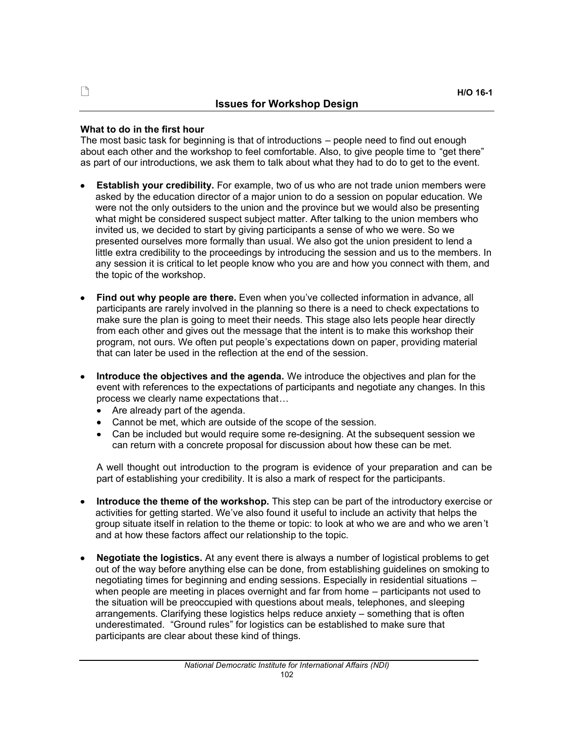#### What to do in the first hour

The most basic task for beginning is that of introductions – people need to find out enough about each other and the workshop to feel comfortable. Also, to give people time to "get there" as part of our introductions, we ask them to talk about what they had to do to get to the event.

- Establish your credibility. For example, two of us who are not trade union members were  $\bullet$ asked by the education director of a major union to do a session on popular education. We were not the only outsiders to the union and the province but we would also be presenting what might be considered suspect subject matter. After talking to the union members who invited us, we decided to start by giving participants a sense of who we were. So we presented ourselves more formally than usual. We also got the union president to lend a little extra credibility to the proceedings by introducing the session and us to the members. In any session it is critical to let people know who you are and how you connect with them, and the topic of the workshop.
- Find out why people are there. Even when you've collected information in advance, all  $\bullet$ participants are rarely involved in the planning so there is a need to check expectations to make sure the plan is going to meet their needs. This stage also lets people hear directly from each other and gives out the message that the intent is to make this workshop their program, not ours. We often put people's expectations down on paper, providing material that can later be used in the reflection at the end of the session.
- $\bullet$ Introduce the objectives and the agenda. We introduce the objectives and plan for the event with references to the expectations of participants and negotiate any changes. In this process we clearly name expectations that
	- Are already part of the agenda.  $\bullet$
	- Cannot be met, which are outside of the scope of the session.
	- Can be included but would require some re-designing. At the subsequent session we can return with a concrete proposal for discussion about how these can be met.

A well thought out introduction to the program is evidence of your preparation and can be part of establishing your credibility. It is also a mark of respect for the participants.

- Introduce the theme of the workshop. This step can be part of the introductory exercise or  $\bullet$ activities for getting started. We've also found it useful to include an activity that helps the group situate itself in relation to the theme or topic: to look at who we are and who we aren't and at how these factors affect our relationship to the topic.
- Negotiate the logistics. At any event there is always a number of logistical problems to get  $\bullet$ out of the way before anything else can be done, from establishing guidelines on smoking to negotiating times for beginning and ending sessions. Especially in residential situations when people are meeting in places overnight and far from home  $-$  participants not used to the situation will be preoccupied with questions about meals, telephones, and sleeping arrangements. Clarifying these logistics helps reduce anxiety – something that is often underestimated. "Ground rules" for logistics can be established to make sure that participants are clear about these kind of things.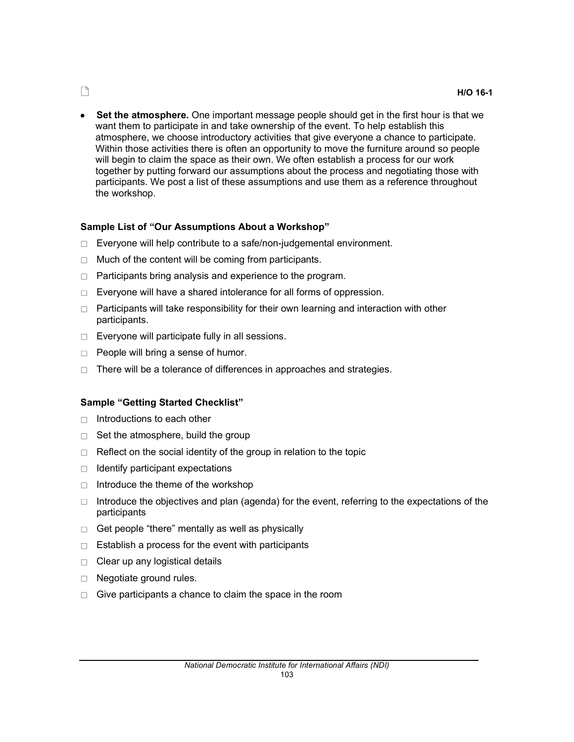Set the atmosphere. One important message people should get in the first hour is that we  $\bullet$ want them to participate in and take ownership of the event. To help establish this atmosphere, we choose introductory activities that give everyone a chance to participate. Within those activities there is often an opportunity to move the furniture around so people will begin to claim the space as their own. We often establish a process for our work together by putting forward our assumptions about the process and negotiating those with participants. We post a list of these assumptions and use them as a reference throughout the workshop.

#### Sample List of "Our Assumptions About a Workshop"

- Everyone will help contribute to a safe/non-judgemental environment.  $\Box$
- Much of the content will be coming from participants.  $\Box$
- $\Box$  Participants bring analysis and experience to the program.
- $\Box$  Everyone will have a shared intolerance for all forms of oppression.
- $\Box$  Participants will take responsibility for their own learning and interaction with other participants.
- $\Box$  Everyone will participate fully in all sessions.
- $\Box$  People will bring a sense of humor.
- $\Box$  There will be a tolerance of differences in approaches and strategies.

#### Sample "Getting Started Checklist"

- $\Box$  Introductions to each other
- $\Box$  Set the atmosphere, build the group
- Reflect on the social identity of the group in relation to the topic  $\Box$
- $\Box$  Identify participant expectations
- $\Box$  Introduce the theme of the workshop
- Introduce the objectives and plan (agenda) for the event, referring to the expectations of the participants
- $\Box$  Get people "there" mentally as well as physically
- $\Box$  Establish a process for the event with participants
- $\Box$  Clear up any logistical details
- □ Negotiate ground rules.
- $\Box$  Give participants a chance to claim the space in the room

#### $\Box$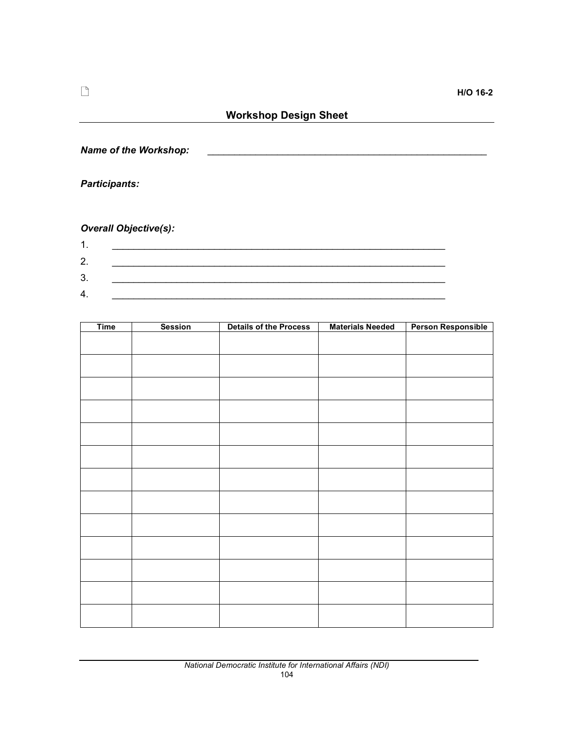# Workshop Design Sheet

*Name of the Workshop:* \_\_\_\_\_\_\_\_\_\_\_\_\_\_\_\_\_\_\_\_\_\_\_\_\_\_\_\_\_\_\_\_\_\_\_\_\_\_\_\_\_\_\_\_\_\_\_\_\_\_\_\_

# *Participants:*

# *Overall Objective(s):*

| ┍ |  |
|---|--|
| я |  |
|   |  |

| <b>Time</b> | <b>Session</b> | <b>Details of the Process</b> | <b>Materials Needed</b> | <b>Person Responsible</b> |
|-------------|----------------|-------------------------------|-------------------------|---------------------------|
|             |                |                               |                         |                           |
|             |                |                               |                         |                           |
|             |                |                               |                         |                           |
|             |                |                               |                         |                           |
|             |                |                               |                         |                           |
|             |                |                               |                         |                           |
|             |                |                               |                         |                           |
|             |                |                               |                         |                           |
|             |                |                               |                         |                           |
|             |                |                               |                         |                           |
|             |                |                               |                         |                           |
|             |                |                               |                         |                           |
|             |                |                               |                         |                           |
|             |                |                               |                         |                           |
|             |                |                               |                         |                           |
|             |                |                               |                         |                           |
|             |                |                               |                         |                           |
|             |                |                               |                         |                           |
|             |                |                               |                         |                           |
|             |                |                               |                         |                           |
|             |                |                               |                         |                           |
|             |                |                               |                         |                           |
|             |                |                               |                         |                           |
|             |                |                               |                         |                           |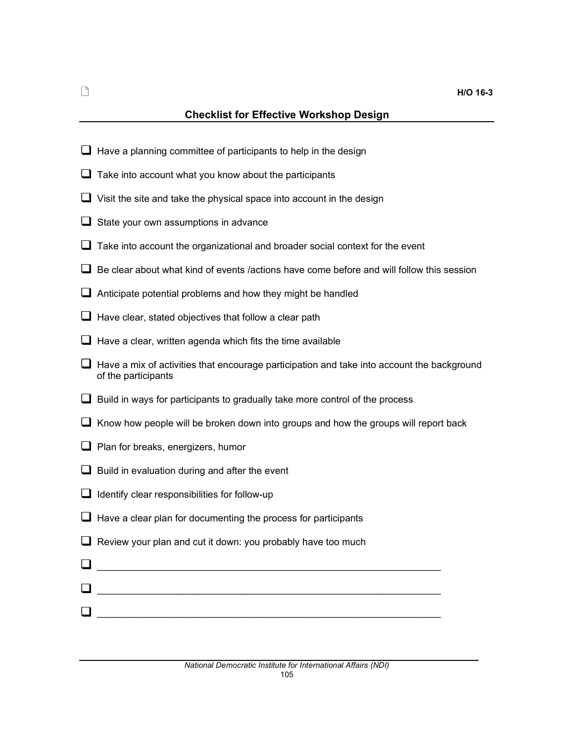- $\Box$  Have a planning committee of participants to help in the design
- $\Box$  Take into account what you know about the participants
- $\Box$  Visit the site and take the physical space into account in the design
- $\Box$  State your own assumptions in advance
- $\Box$  Take into account the organizational and broader social context for the event
- $\Box$  Be clear about what kind of events /actions have come before and will follow this session
- $\Box$  Anticipate potential problems and how they might be handled
- $\Box$  Have clear, stated objectives that follow a clear path
- $\Box$  Have a clear, written agenda which fits the time available
- $\Box$  Have a mix of activities that encourage participation and take into account the background of the participants
- $\Box$  Build in ways for participants to gradually take more control of the process
- $\Box$  Know how people will be broken down into groups and how the groups will report back
- $\Box$  Plan for breaks, energizers, humor
- $\Box$  Build in evaluation during and after the event
- $\Box$  Identify clear responsibilities for follow-up
- $\Box$  Have a clear plan for documenting the process for participants
- $\Box$  Review your plan and cut it down: you probably have too much

\_\_\_\_\_\_\_\_\_\_\_\_\_\_\_\_\_\_\_\_\_\_\_\_\_\_\_\_\_\_\_\_\_\_\_\_\_\_\_\_\_\_\_\_\_\_\_\_\_\_\_\_\_\_\_\_\_\_\_\_\_\_\_\_

 $\Box$ 

 $\Box$ 

*National Democratic Institute for International Affairs (NDI)*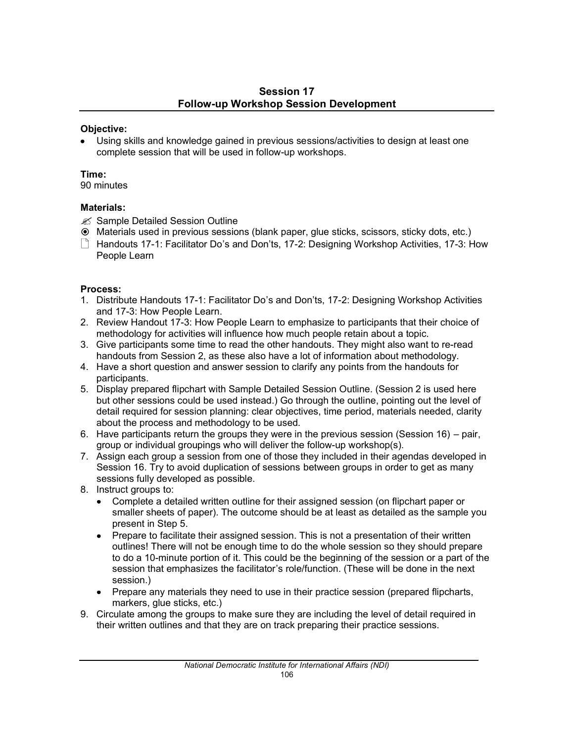### Objective:

 $\bullet$ Using skills and knowledge gained in previous sessions/activities to design at least one complete session that will be used in follow-up workshops.

#### Time:

90 minutes

#### Materials:

- $\mathscr{L}$  Sample Detailed Session Outline
- Materials used in previous sessions (blank paper, glue sticks, scissors, sticky dots, etc.)
- $\Box$  Handouts 17-1: Facilitator Do's and Don'ts, 17-2: Designing Workshop Activities, 17-3: How People Learn

- 1. Distribute Handouts 17-1: Facilitator Do's and Don'ts, 17-2: Designing Workshop Activities and 17-3: How People Learn.
- 2. Review Handout 17-3: How People Learn to emphasize to participants that their choice of methodology for activities will influence how much people retain about a topic.
- 3. Give participants some time to read the other handouts. They might also want to re-read handouts from Session 2, as these also have a lot of information about methodology.
- 4. Have a short question and answer session to clarify any points from the handouts for participants.
- 5. Display prepared flipchart with Sample Detailed Session Outline. (Session 2 is used here but other sessions could be used instead.) Go through the outline, pointing out the level of detail required for session planning: clear objectives, time period, materials needed, clarity about the process and methodology to be used.
- 6. Have participants return the groups they were in the previous session (Session 16) pair, group or individual groupings who will deliver the follow-up workshop(s).
- 7. Assign each group a session from one of those they included in their agendas developed in Session 16. Try to avoid duplication of sessions between groups in order to get as many sessions fully developed as possible.
- 8. Instruct groups to:
	- Complete a detailed written outline for their assigned session (on flipchart paper or smaller sheets of paper). The outcome should be at least as detailed as the sample you present in Step 5.
	- Prepare to facilitate their assigned session. This is not a presentation of their written outlines! There will not be enough time to do the whole session so they should prepare to do a 10-minute portion of it. This could be the beginning of the session or a part of the session that emphasizes the facilitator's role/function. (These will be done in the next session.)
	- Prepare any materials they need to use in their practice session (prepared flipcharts, markers, glue sticks, etc.)
- 9. Circulate among the groups to make sure they are including the level of detail required in their written outlines and that they are on track preparing their practice sessions.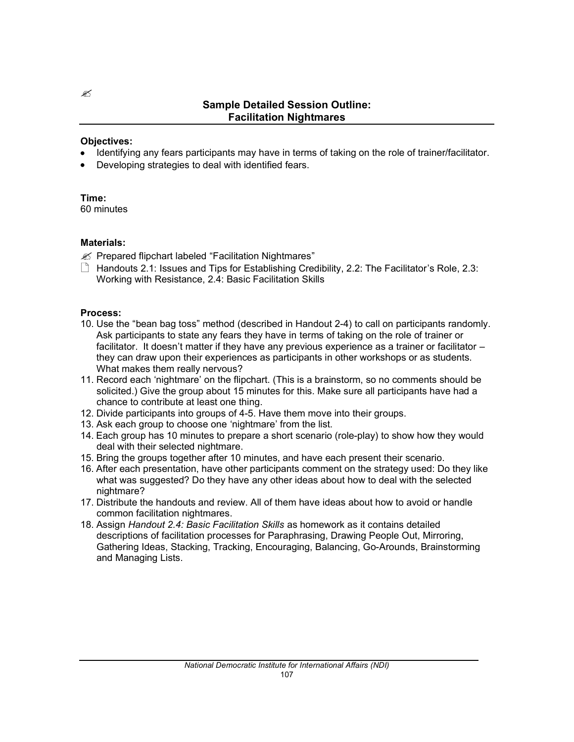## Sample Detailed Session Outline: Facilitation Nightmares

#### Objectives:

- Identifying any fears participants may have in terms of taking on the role of trainer/facilitator.
- Developing strategies to deal with identified fears.

#### Time:

60 minutes

#### Materials:

- $\mathscr{L}$  Prepared flipchart labeled "Facilitation Nightmares"
- $\Box$  Handouts 2.1: Issues and Tips for Establishing Credibility, 2.2: The Facilitator's Role, 2.3: Working with Resistance, 2.4: Basic Facilitation Skills

#### Process:

- 10. Use the "bean bag toss" method (described in Handout 2-4) to call on participants randomly. Ask participants to state any fears they have in terms of taking on the role of trainer or facilitator. It doesn't matter if they have any previous experience as a trainer or facilitator  $$ they can draw upon their experiences as participants in other workshops or as students. What makes them really nervous?
- 11. Record each 'nightmare' on the flipchart. (This is a brainstorm, so no comments should be solicited.) Give the group about 15 minutes for this. Make sure all participants have had a chance to contribute at least one thing.
- 12. Divide participants into groups of 4-5. Have them move into their groups.
- 13. Ask each group to choose one 'nightmare' from the list.
- 14. Each group has 10 minutes to prepare a short scenario (role-play) to show how they would deal with their selected nightmare.
- 15. Bring the groups together after 10 minutes, and have each present their scenario.
- 16. After each presentation, have other participants comment on the strategy used: Do they like what was suggested? Do they have any other ideas about how to deal with the selected nightmare?
- 17. Distribute the handouts and review. All of them have ideas about how to avoid or handle common facilitation nightmares.
- 18. Assign *Handout 2.4: Basic Facilitation Skills* as homework as it contains detailed descriptions of facilitation processes for Paraphrasing, Drawing People Out, Mirroring, Gathering Ideas, Stacking, Tracking, Encouraging, Balancing, Go-Arounds, Brainstorming and Managing Lists.

Ø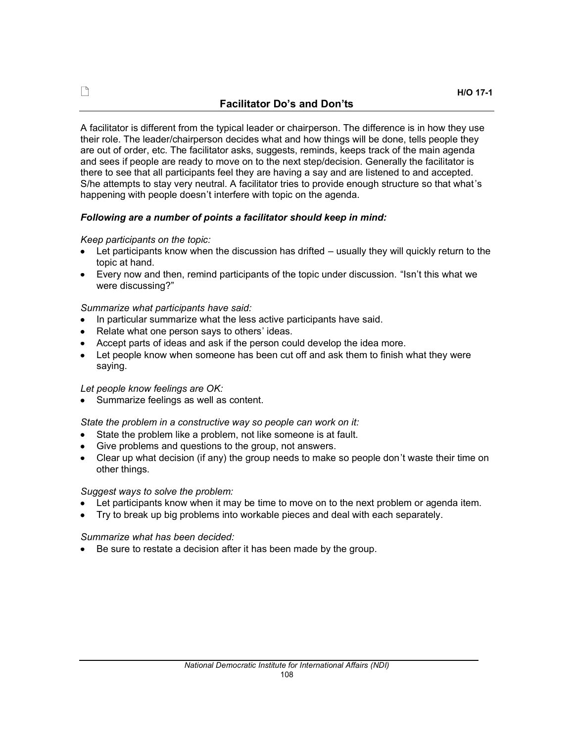# Facilitator Do's and Don'ts

A facilitator is different from the typical leader or chairperson. The difference is in how they use their role. The leader/chairperson decides what and how things will be done, tells people they are out of order, etc. The facilitator asks, suggests, reminds, keeps track of the main agenda and sees if people are ready to move on to the next step/decision. Generally the facilitator is there to see that all participants feel they are having a say and are listened to and accepted. S/he attempts to stay very neutral. A facilitator tries to provide enough structure so that what's happening with people doesn't interfere with topic on the agenda.

## *Following are a number of points a facilitator should keep in mind:*

#### *Keep participants on the topic:*

- $\bullet$  Let participants know when the discussion has drifted  $-$  usually they will quickly return to the topic at hand.
- Every now and then, remind participants of the topic under discussion. "Isn't this what we were discussing?

#### *Summarize what participants have said:*

- In particular summarize what the less active participants have said.
- Relate what one person says to others' ideas.
- Accept parts of ideas and ask if the person could develop the idea more.
- Let people know when someone has been cut off and ask them to finish what they were saying.

#### *Let people know feelings are OK:*

• Summarize feelings as well as content.

#### *State the problem in a constructive way so people can work on it:*

- State the problem like a problem, not like someone is at fault.
- Give problems and questions to the group, not answers.
- Clear up what decision (if any) the group needs to make so people don't waste their time on other things.

#### *Suggest ways to solve the problem:*

- Let participants know when it may be time to move on to the next problem or agenda item.
- Try to break up big problems into workable pieces and deal with each separately.

#### *Summarize what has been decided:*

Be sure to restate a decision after it has been made by the group.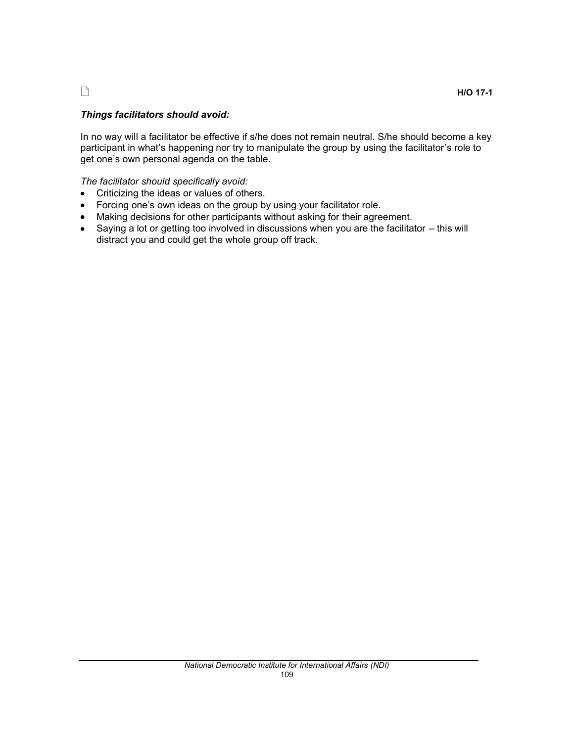## *Things facilitators should avoid:*

In no way will a facilitator be effective if s/he does not remain neutral. S/he should become a key participant in what's happening nor try to manipulate the group by using the facilitator's role to get one's own personal agenda on the table.

*The facilitator should specifically avoid:* 

- Criticizing the ideas or values of others.
- $\bullet$ Forcing one's own ideas on the group by using your facilitator role.
- Making decisions for other participants without asking for their agreement.
- Saying a lot or getting too involved in discussions when you are the facilitator this will  $\bullet$ distract you and could get the whole group off track.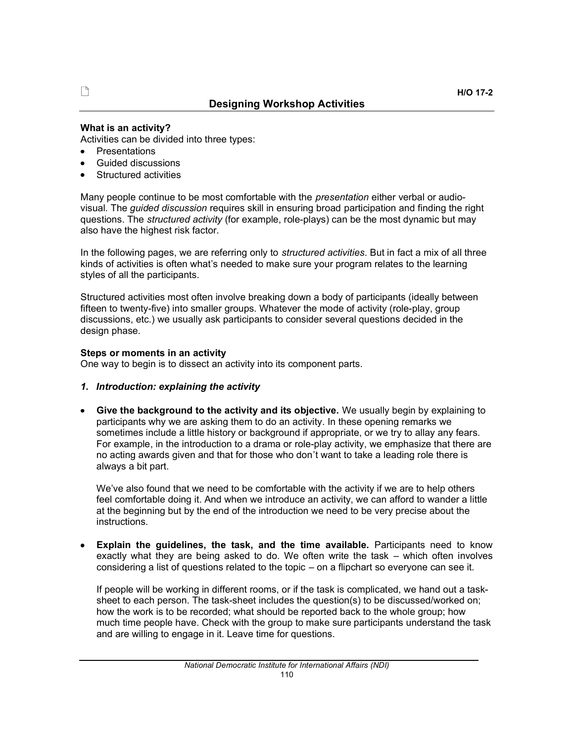Activities can be divided into three types:

- **Presentations**
- Guided discussions
- Structured activities

Many people continue to be most comfortable with the *presentation* either verbal or audiovisual. The *guided discussion* requires skill in ensuring broad participation and finding the right questions. The *structured activity* (for example, role-plays) can be the most dynamic but may also have the highest risk factor.

In the following pages, we are referring only to *structured activities*. But in fact a mix of all three kinds of activities is often what's needed to make sure your program relates to the learning styles of all the participants.

Structured activities most often involve breaking down a body of participants (ideally between fifteen to twenty-five) into smaller groups. Whatever the mode of activity (role-play, group discussions, etc.) we usually ask participants to consider several questions decided in the design phase.

#### Steps or moments in an activity

One way to begin is to dissect an activity into its component parts.

- *1. Introduction: explaining the activity*
- Give the background to the activity and its objective. We usually begin by explaining to participants why we are asking them to do an activity. In these opening remarks we sometimes include a little history or background if appropriate, or we try to allay any fears. For example, in the introduction to a drama or role-play activity, we emphasize that there are no acting awards given and that for those who don't want to take a leading role there is always a bit part.

We've also found that we need to be comfortable with the activity if we are to help others feel comfortable doing it. And when we introduce an activity, we can afford to wander a little at the beginning but by the end of the introduction we need to be very precise about the instructions.

 $\bullet$ Explain the guidelines, the task, and the time available. Participants need to know exactly what they are being asked to do. We often write the task  $-$  which often involves considering a list of questions related to the topic  $-$  on a flipchart so everyone can see it.

If people will be working in different rooms, or if the task is complicated, we hand out a tasksheet to each person. The task-sheet includes the question(s) to be discussed/worked on; how the work is to be recorded; what should be reported back to the whole group; how much time people have. Check with the group to make sure participants understand the task and are willing to engage in it. Leave time for questions.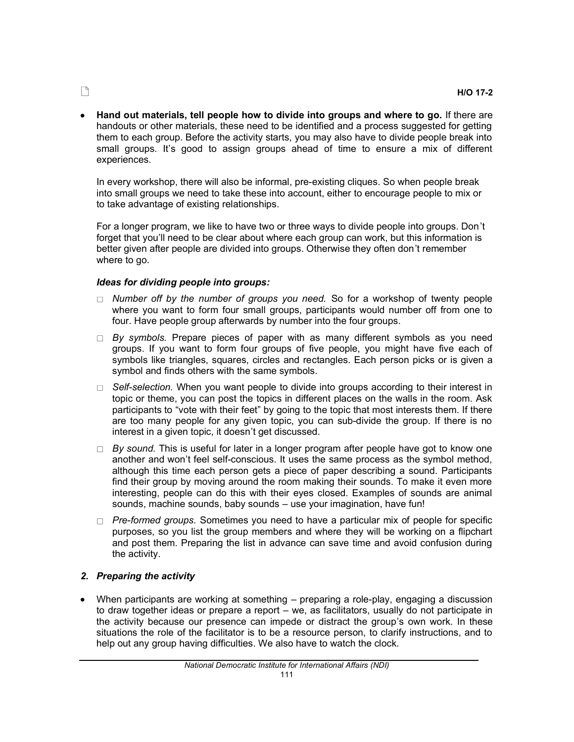Hand out materials, tell people how to divide into groups and where to go. If there are  $\bullet$ handouts or other materials, these need to be identified and a process suggested for getting them to each group. Before the activity starts, you may also have to divide people break into small groups. It's good to assign groups ahead of time to ensure a mix of different experiences.

In every workshop, there will also be informal, pre-existing cliques. So when people break into small groups we need to take these into account, either to encourage people to mix or to take advantage of existing relationships.

For a longer program, we like to have two or three ways to divide people into groups. Don't forget that you'll need to be clear about where each group can work, but this information is better given after people are divided into groups. Otherwise they often don't remember where to go.

#### *Ideas for dividing people into groups:*

- *Number off by the number of groups you need.* So for a workshop of twenty people where you want to form four small groups, participants would number off from one to four. Have people group afterwards by number into the four groups.
- *By symbols.* Prepare pieces of paper with as many different symbols as you need groups. If you want to form four groups of five people, you might have five each of symbols like triangles, squares, circles and rectangles. Each person picks or is given a symbol and finds others with the same symbols.
- □ Self-selection. When you want people to divide into groups according to their interest in topic or theme, you can post the topics in different places on the walls in the room. Ask participants to "vote with their feet" by going to the topic that most interests them. If there are too many people for any given topic, you can sub-divide the group. If there is no interest in a given topic, it doesn't get discussed.
- *By sound.* This is useful for later in a longer program after people have got to know one another and won't feel self-conscious. It uses the same process as the symbol method, although this time each person gets a piece of paper describing a sound. Participants find their group by moving around the room making their sounds. To make it even more interesting, people can do this with their eyes closed. Examples of sounds are animal sounds, machine sounds, baby sounds - use your imagination, have fun!
- *Pre-formed groups.* Sometimes you need to have a particular mix of people for specific purposes, so you list the group members and where they will be working on a flipchart and post them. Preparing the list in advance can save time and avoid confusion during the activity.

#### *2. Preparing the activity*

When participants are working at something  $-$  preparing a role-play, engaging a discussion  $\bullet$ to draw together ideas or prepare a report  $-$  we, as facilitators, usually do not participate in the activity because our presence can impede or distract the group's own work. In these situations the role of the facilitator is to be a resource person, to clarify instructions, and to help out any group having difficulties. We also have to watch the clock.

# $\Box$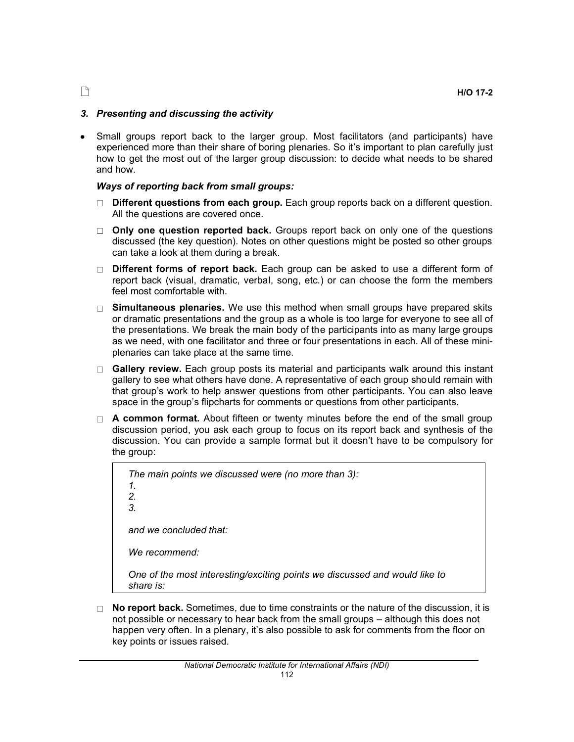### *3. Presenting and discussing the activity*

Small groups report back to the larger group. Most facilitators (and participants) have experienced more than their share of boring plenaries. So it's important to plan carefully just how to get the most out of the larger group discussion: to decide what needs to be shared and how.

#### *Ways of reporting back from small groups:*

- $\Box$  Different questions from each group. Each group reports back on a different question. All the questions are covered once.
- $\Box$  Only one question reported back. Groups report back on only one of the questions discussed (the key question). Notes on other questions might be posted so other groups can take a look at them during a break.
- $\Box$  Different forms of report back. Each group can be asked to use a different form of report back (visual, dramatic, verbal, song, etc.) or can choose the form the members feel most comfortable with.
- $\Box$  Simultaneous plenaries. We use this method when small groups have prepared skits or dramatic presentations and the group as a whole is too large for everyone to see all of the presentations. We break the main body of the participants into as many large groups as we need, with one facilitator and three or four presentations in each. All of these miniplenaries can take place at the same time.
- $\Box$  Gallery review. Each group posts its material and participants walk around this instant gallery to see what others have done. A representative of each group should remain with that group's work to help answer questions from other participants. You can also leave space in the group's flipcharts for comments or questions from other participants.
- $\Box$  **A common format.** About fifteen or twenty minutes before the end of the small group discussion period, you ask each group to focus on its report back and synthesis of the discussion. You can provide a sample format but it doesn't have to be compulsory for the group:

```
The main points we discussed were (no more than 3): 
1.
2.
3.
and we concluded that:
```
*We recommend:*

*One of the most interesting/exciting points we discussed and would like to share is:* 

No report back. Sometimes, due to time constraints or the nature of the discussion, it is  $\Box$ not possible or necessary to hear back from the small groups – although this does not happen very often. In a plenary, it's also possible to ask for comments from the floor on key points or issues raised.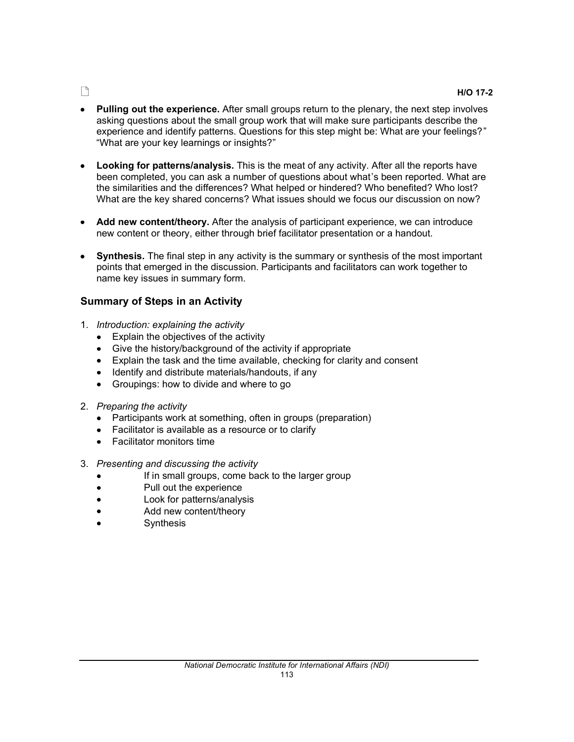$\Box$ 

- **Pulling out the experience.** After small groups return to the plenary, the next step involves asking questions about the small group work that will make sure participants describe the experience and identify patterns. Questions for this step might be: What are your feelings?" What are your key learnings or insights?
- Looking for patterns/analysis. This is the meat of any activity. After all the reports have  $\bullet$ been completed, you can ask a number of questions about what's been reported. What are the similarities and the differences? What helped or hindered? Who benefited? Who lost? What are the key shared concerns? What issues should we focus our discussion on now?
- Add new content/theory. After the analysis of participant experience, we can introduce  $\bullet$ new content or theory, either through brief facilitator presentation or a handout.
- Synthesis. The final step in any activity is the summary or synthesis of the most important  $\bullet$ points that emerged in the discussion. Participants and facilitators can work together to name key issues in summary form.

# Summary of Steps in an Activity

- 1. *Introduction: explaining the activity*
	- Explain the objectives of the activity
	- Give the history/background of the activity if appropriate
	- Explain the task and the time available, checking for clarity and consent
	- Identify and distribute materials/handouts, if any
	- Groupings: how to divide and where to go
- 2. *Preparing the activity*
	- Participants work at something, often in groups (preparation)  $\bullet$
	- Facilitator is available as a resource or to clarify
	- Facilitator monitors time
- 3. *Presenting and discussing the activity* 
	- If in small groups, come back to the larger group
	- Pull out the experience  $\bullet$
	- Look for patterns/analysis
	- Add new content/theory
	- Synthesis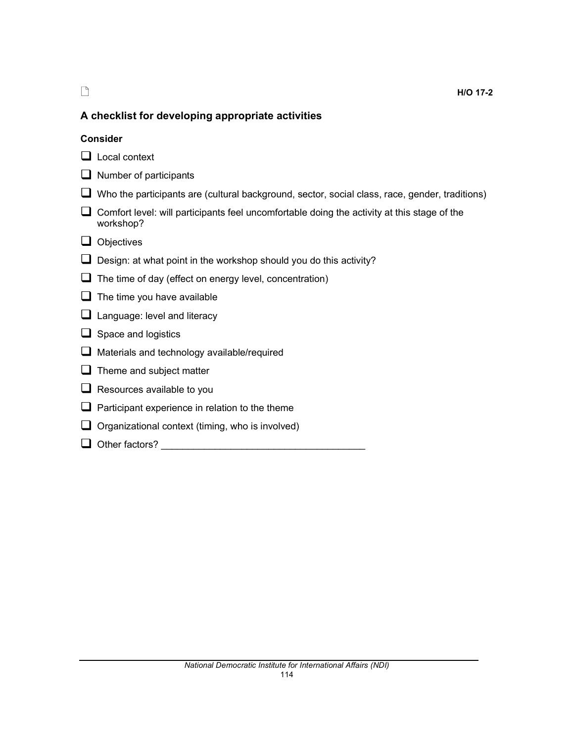H/O 17-2

# A checklist for developing appropriate activities

## Consider

- $\Box$  Local context
- $\Box$  Number of participants
- $\Box$  Who the participants are (cultural background, sector, social class, race, gender, traditions)
- $\Box$  Comfort level: will participants feel uncomfortable doing the activity at this stage of the workshop?
- $\Box$  Objectives
- $\Box$  Design: at what point in the workshop should you do this activity?
- $\Box$  The time of day (effect on energy level, concentration)
- $\Box$  The time you have available
- $\Box$  Language: level and literacy
- $\Box$  Space and logistics
- $\Box$  Materials and technology available/required
- $\Box$  Theme and subject matter
- $\Box$  Resources available to you
- $\Box$  Participant experience in relation to the theme
- $\Box$  Organizational context (timing, who is involved)
- Other factors? \_\_\_\_\_\_\_\_\_\_\_\_\_\_\_\_\_\_\_\_\_\_\_\_\_\_\_\_\_\_\_\_\_\_\_\_\_\_

 $\bigcap$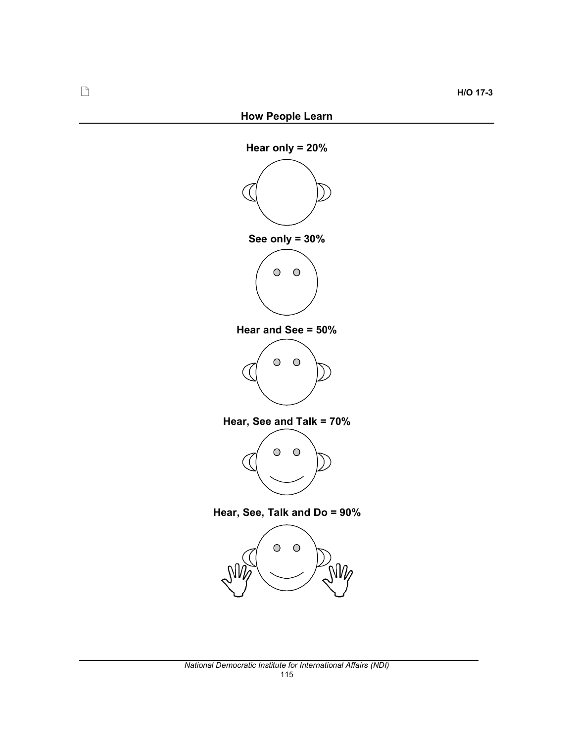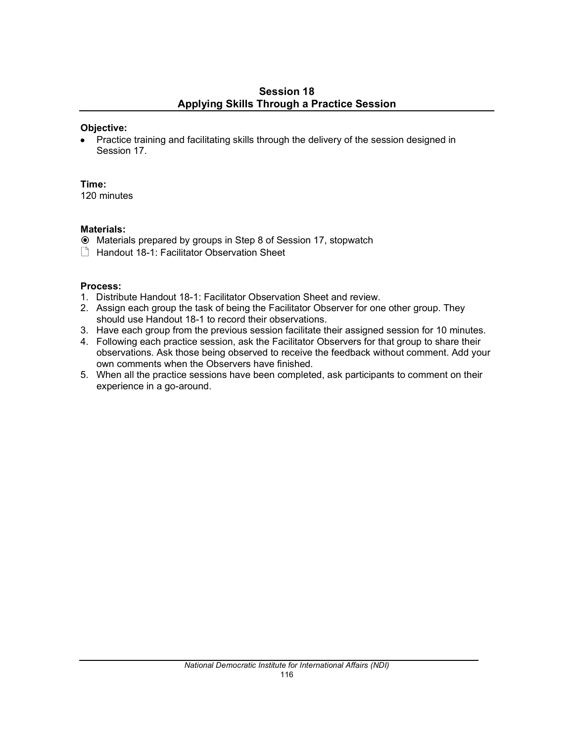## Session 18 Applying Skills Through a Practice Session

#### Objective:

Practice training and facilitating skills through the delivery of the session designed in Session 17.

#### Time:

120 minutes

#### Materials:

- Materials prepared by groups in Step 8 of Session 17, stopwatch
- $\Box$  Handout 18-1: Facilitator Observation Sheet

- 1. Distribute Handout 18-1: Facilitator Observation Sheet and review.
- 2. Assign each group the task of being the Facilitator Observer for one other group. They should use Handout 18-1 to record their observations.
- 3. Have each group from the previous session facilitate their assigned session for 10 minutes.
- 4. Following each practice session, ask the Facilitator Observers for that group to share their observations. Ask those being observed to receive the feedback without comment. Add your own comments when the Observers have finished.
- 5. When all the practice sessions have been completed, ask participants to comment on their experience in a go-around.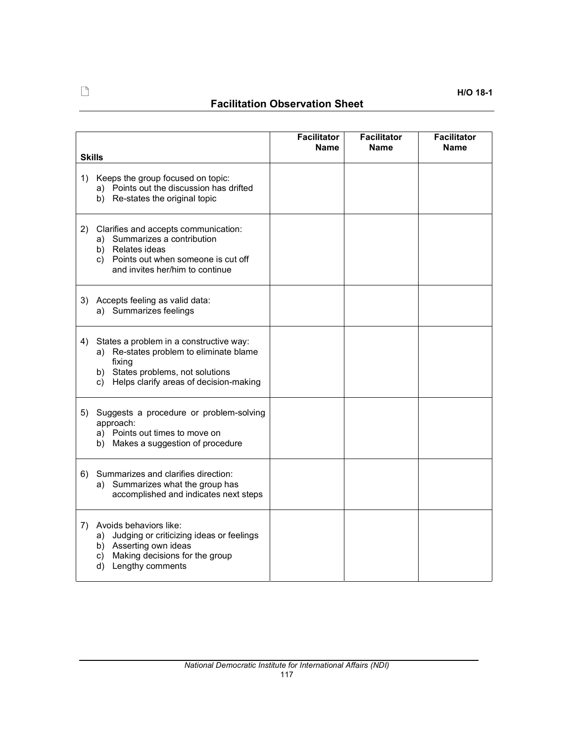# Facilitation Observation Sheet

|               |                                                                                                                                                                                | <b>Facilitator</b><br><b>Name</b> | <b>Facilitator</b><br><b>Name</b> | <b>Facilitator</b><br><b>Name</b> |
|---------------|--------------------------------------------------------------------------------------------------------------------------------------------------------------------------------|-----------------------------------|-----------------------------------|-----------------------------------|
| <b>Skills</b> |                                                                                                                                                                                |                                   |                                   |                                   |
|               | 1) Keeps the group focused on topic:<br>a) Points out the discussion has drifted<br>b) Re-states the original topic                                                            |                                   |                                   |                                   |
| 2)            | Clarifies and accepts communication:<br>a) Summarizes a contribution<br>b) Relates ideas<br>c) Points out when someone is cut off<br>and invites her/him to continue           |                                   |                                   |                                   |
|               | 3) Accepts feeling as valid data:<br>a) Summarizes feelings                                                                                                                    |                                   |                                   |                                   |
| 4)            | States a problem in a constructive way:<br>a) Re-states problem to eliminate blame<br>fixing<br>b) States problems, not solutions<br>c) Helps clarify areas of decision-making |                                   |                                   |                                   |
| 5)            | Suggests a procedure or problem-solving<br>approach:<br>a) Points out times to move on<br>b) Makes a suggestion of procedure                                                   |                                   |                                   |                                   |
| 6)            | Summarizes and clarifies direction:<br>a) Summarizes what the group has<br>accomplished and indicates next steps                                                               |                                   |                                   |                                   |
| 7)            | Avoids behaviors like:<br>a) Judging or criticizing ideas or feelings<br>b) Asserting own ideas<br>c) Making decisions for the group<br>d) Lengthy comments                    |                                   |                                   |                                   |

 $\Box$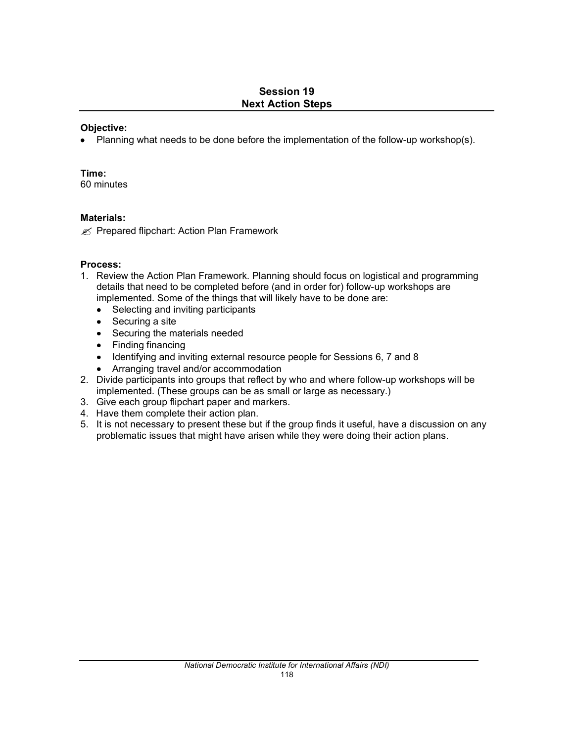## Session 19 Next Action Steps

#### Objective:

Planning what needs to be done before the implementation of the follow-up workshop(s).  $\bullet$ 

#### Time:

60 minutes

#### Materials:

 $\mathcal{L}$  Prepared flipchart: Action Plan Framework

- 1. Review the Action Plan Framework. Planning should focus on logistical and programming details that need to be completed before (and in order for) follow-up workshops are implemented. Some of the things that will likely have to be done are:
	- $\bullet$ Selecting and inviting participants
	- Securing a site
	- Securing the materials needed
	- Finding financing
	- Identifying and inviting external resource people for Sessions 6, 7 and 8  $\bullet$
	- Arranging travel and/or accommodation
- 2. Divide participants into groups that reflect by who and where follow-up workshops will be implemented. (These groups can be as small or large as necessary.)
- 3. Give each group flipchart paper and markers.
- 4. Have them complete their action plan.
- 5. It is not necessary to present these but if the group finds it useful, have a discussion on any problematic issues that might have arisen while they were doing their action plans.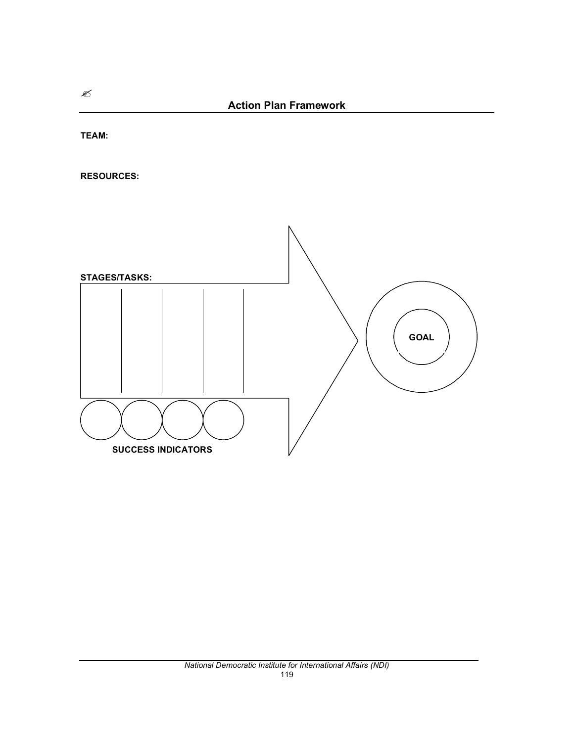TEAM:

RESOURCES:

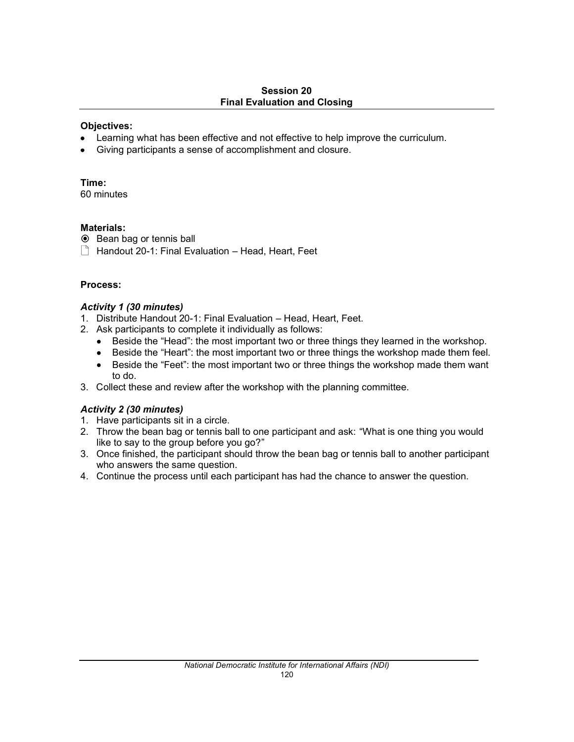### Session 20 Final Evaluation and Closing

#### Objectives:

- Learning what has been effective and not effective to help improve the curriculum.
- Giving participants a sense of accomplishment and closure.  $\bullet$

#### Time:

60 minutes

## Materials:

- **●** Bean bag or tennis ball
- $\Box$  Handout 20-1: Final Evaluation Head, Heart, Feet

## Process:

## *Activity 1 (30 minutes)*

- 1. Distribute Handout 20-1: Final Evaluation Head, Heart, Feet.
- 2. Ask participants to complete it individually as follows:
	- Beside the "Head": the most important two or three things they learned in the workshop.  $\bullet$
	- Beside the "Heart": the most important two or three things the workshop made them feel.  $\bullet$
	- $\bullet$ Beside the "Feet": the most important two or three things the workshop made them want to do.
- 3. Collect these and review after the workshop with the planning committee.

## *Activity 2 (30 minutes)*

- 1. Have participants sit in a circle.
- 2. Throw the bean bag or tennis ball to one participant and ask: "What is one thing you would like to say to the group before you go?"
- 3. Once finished, the participant should throw the bean bag or tennis ball to another participant who answers the same question.
- 4. Continue the process until each participant has had the chance to answer the question.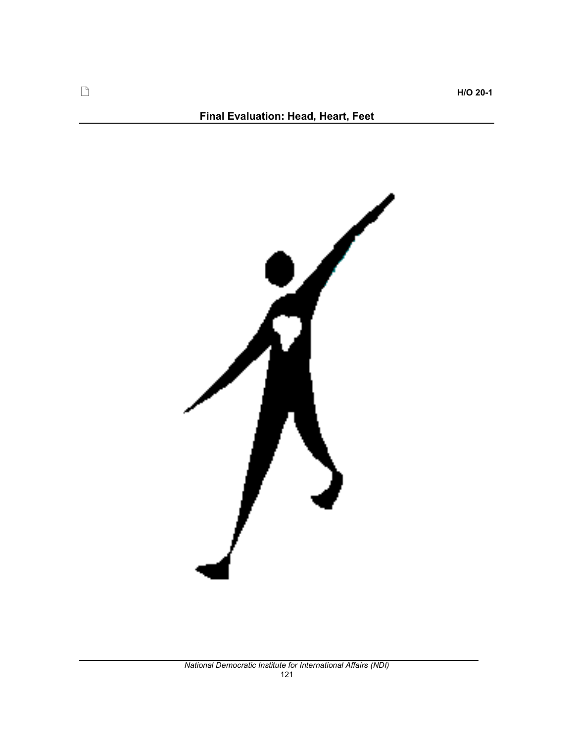# Final Evaluation: Head, Heart, Feet

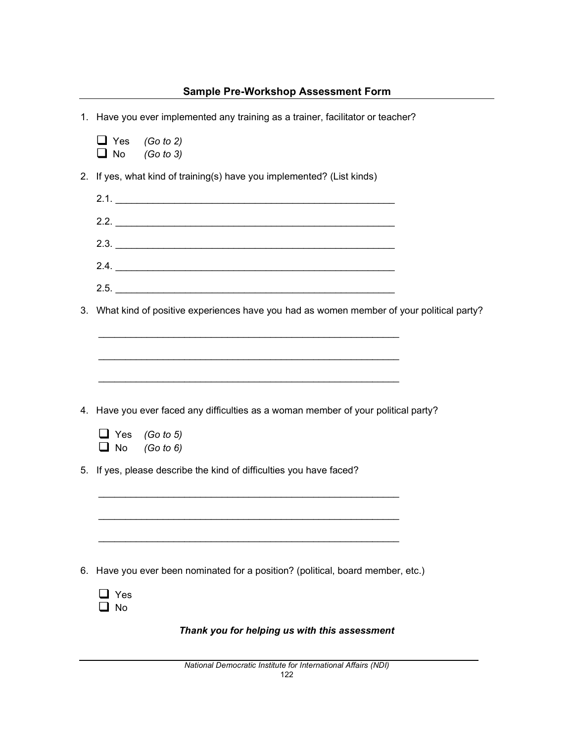1. Have you ever implemented any training as a trainer, facilitator or teacher?

| $\Box$ Yes<br>(Go to 2)<br>(Go to 3)<br>No                                                 |
|--------------------------------------------------------------------------------------------|
| 2. If yes, what kind of training(s) have you implemented? (List kinds)                     |
| 2.1.                                                                                       |
| 2.2.                                                                                       |
| 2.3.                                                                                       |
| 2.4.                                                                                       |
| 2.5.                                                                                       |
| 3. What kind of positive experiences have you had as women member of your political party? |
|                                                                                            |
|                                                                                            |
|                                                                                            |
| 4. Have you ever faced any difficulties as a woman member of your political party?         |
| $\Box$ Yes (Go to 5)<br>$\Box$ No<br>(Go to 6)                                             |
| 5. If yes, please describe the kind of difficulties you have faced?                        |
|                                                                                            |
|                                                                                            |
|                                                                                            |
| 6. Have you ever been nominated for a position? (political, board member, etc.)            |
| Yes<br>⊒ No                                                                                |
| Thank you for helping us with this assessment                                              |
|                                                                                            |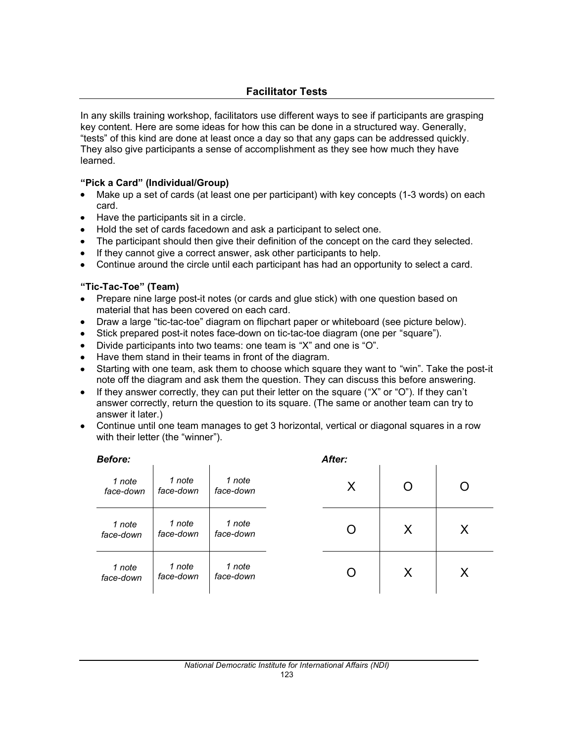# Facilitator Tests

In any skills training workshop, facilitators use different ways to see if participants are grasping key content. Here are some ideas for how this can be done in a structured way. Generally, "tests" of this kind are done at least once a day so that any gaps can be addressed quickly. They also give participants a sense of accomplishment as they see how much they have learned.

## "Pick a Card" (Individual/Group)

- Make up a set of cards (at least one per participant) with key concepts (1-3 words) on each  $\bullet$ card.
- Have the participants sit in a circle.
- Hold the set of cards facedown and ask a participant to select one.
- The participant should then give their definition of the concept on the card they selected.
- If they cannot give a correct answer, ask other participants to help.
- Continue around the circle until each participant has had an opportunity to select a card.

#### "Tic-Tac-Toe" (Team)

- Prepare nine large post-it notes (or cards and glue stick) with one question based on material that has been covered on each card.
- Draw a large "tic-tac-toe" diagram on flipchart paper or whiteboard (see picture below).
- Stick prepared post-it notes face-down on tic-tac-toe diagram (one per "square").
- Divide participants into two teams: one team is "X" and one is "O".
- Have them stand in their teams in front of the diagram.
- Starting with one team, ask them to choose which square they want to "win". Take the post-it note off the diagram and ask them the question. They can discuss this before answering.
- If they answer correctly, they can put their letter on the square ("X" or "O"). If they can't  $\bullet$ answer correctly, return the question to its square. (The same or another team can try to answer it later.)
- Continue until one team manages to get 3 horizontal, vertical or diagonal squares in a row with their letter (the "winner").

| <b>Before:</b>      |                     | After:              |  |   |   |   |
|---------------------|---------------------|---------------------|--|---|---|---|
| 1 note<br>face-down | 1 note<br>face-down | 1 note<br>face-down |  | X | Ő |   |
| 1 note<br>face-down | 1 note<br>face-down | 1 note<br>face-down |  | Ő | X | X |
| 1 note<br>face-down | 1 note<br>face-down | 1 note<br>face-down |  |   | Χ | X |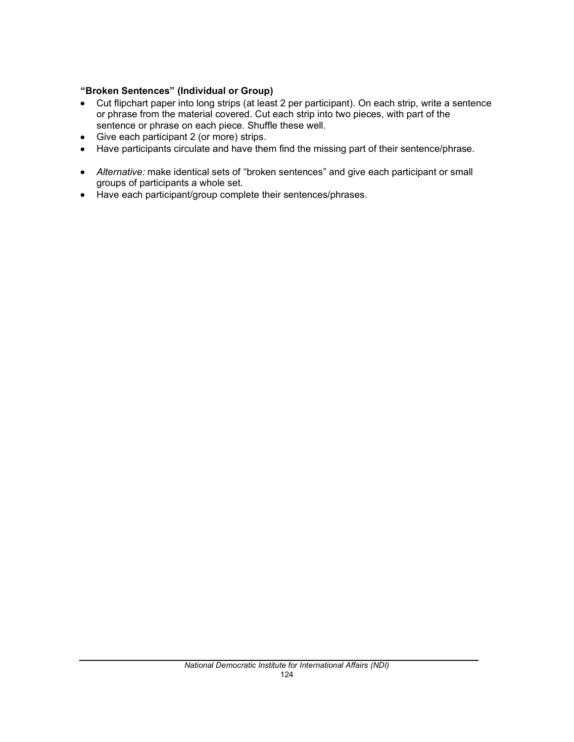## "Broken Sentences" (Individual or Group)

- Cut flipchart paper into long strips (at least 2 per participant). On each strip, write a sentence or phrase from the material covered. Cut each strip into two pieces, with part of the sentence or phrase on each piece. Shuffle these well.
- Give each participant 2 (or more) strips.
- Have participants circulate and have them find the missing part of their sentence/phrase.  $\bullet$
- Alternative: make identical sets of "broken sentences" and give each participant or small groups of participants a whole set.
- Have each participant/group complete their sentences/phrases.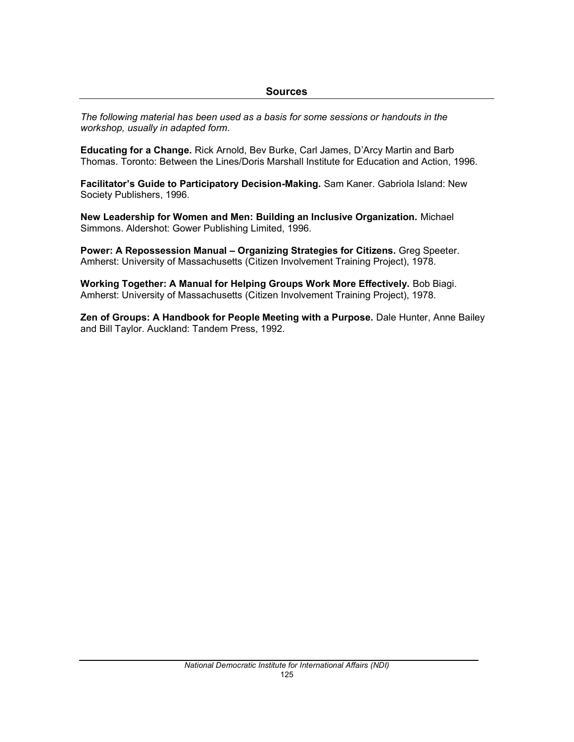*The following material has been used as a basis for some sessions or handouts in the workshop, usually in adapted form.* 

Educating for a Change. Rick Arnold, Bev Burke, Carl James, D'Arcy Martin and Barb Thomas. Toronto: Between the Lines/Doris Marshall Institute for Education and Action, 1996.

Facilitator's Guide to Participatory Decision-Making. Sam Kaner. Gabriola Island: New Society Publishers, 1996.

New Leadership for Women and Men: Building an Inclusive Organization. Michael Simmons. Aldershot: Gower Publishing Limited, 1996.

Power: A Repossession Manual - Organizing Strategies for Citizens. Greg Speeter. Amherst: University of Massachusetts (Citizen Involvement Training Project), 1978.

Working Together: A Manual for Helping Groups Work More Effectively. Bob Biagi. Amherst: University of Massachusetts (Citizen Involvement Training Project), 1978.

Zen of Groups: A Handbook for People Meeting with a Purpose. Dale Hunter, Anne Bailey and Bill Taylor. Auckland: Tandem Press, 1992.